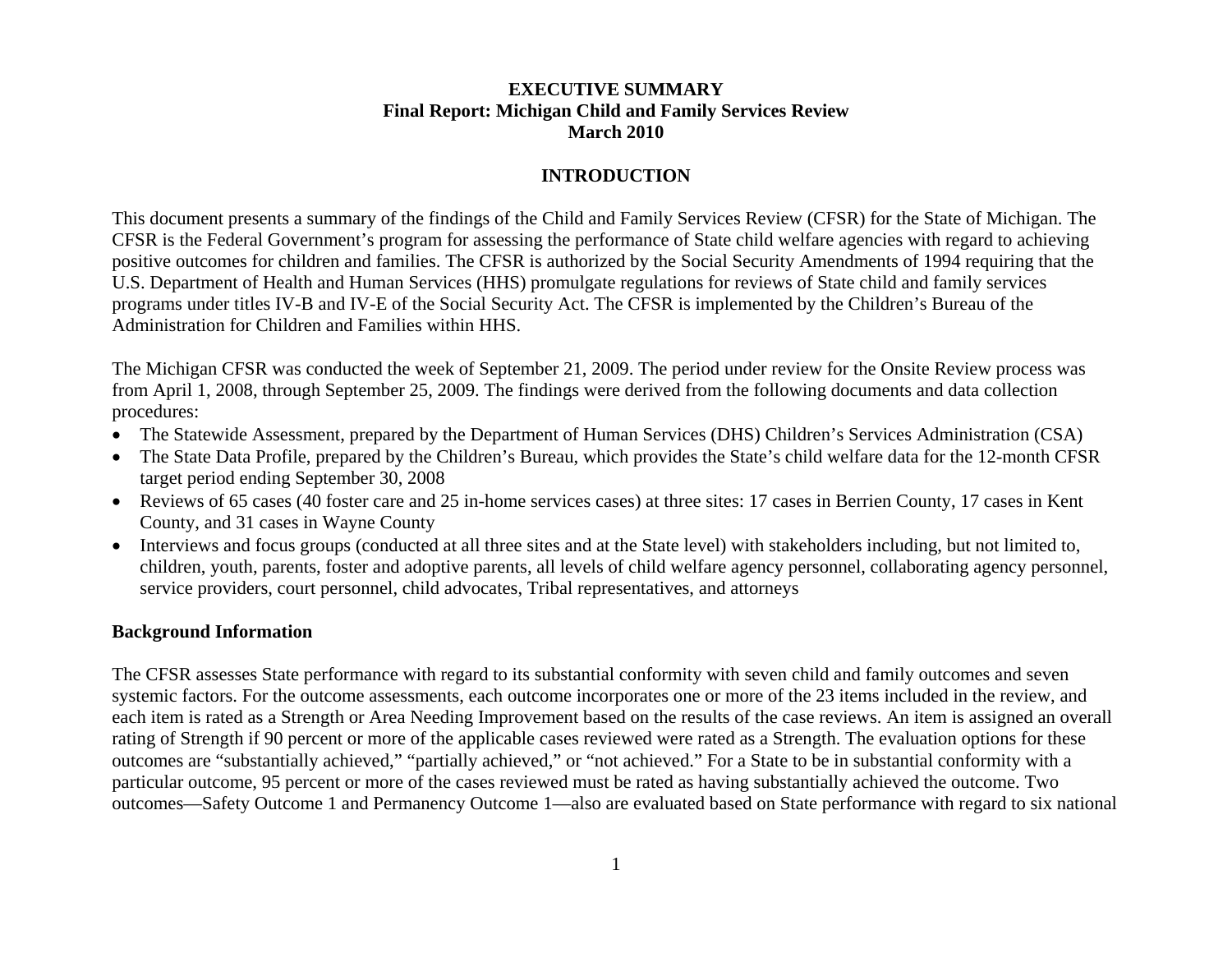### **EXECUTIVE SUMMARY Final Report: Michigan Child and Family Services Review March 2010**

## **INTRODUCTION**

This document presents a summary of the findings of the Child and Family Services Review (CFSR) for the State of Michigan. The CFSR is the Federal Government's program for assessing the performance of State child welfare agencies with regard to achieving positive outcomes for children and families. The CFSR is authorized by the Social Security Amendments of 1994 requiring that the U.S. Department of Health and Human Services (HHS) promulgate regulations for reviews of State child and family services programs under titles IV-B and IV-E of the Social Security Act. The CFSR is implemented by the Children's Bureau of the Administration for Children and Families within HHS.

The Michigan CFSR was conducted the week of September 21, 2009. The period under review for the Onsite Review process was from April 1, 2008, through September 25, 2009. The findings were derived from the following documents and data collection procedures:

- •The Statewide Assessment, prepared by the Department of Human Services (DHS) Children's Services Administration (CSA)
- The State Data Profile, prepared by the Children's Bureau, which provides the State's child welfare data for the 12-month CFSR target period ending September 30, 2008
- Reviews of 65 cases (40 foster care and 25 in-home services cases) at three sites: 17 cases in Berrien County, 17 cases in Kent County, and 31 cases in Wayne County
- Interviews and focus groups (conducted at all three sites and at the State level) with stakeholders including, but not limited to, children, youth, parents, foster and adoptive parents, all levels of child welfare agency personnel, collaborating agency personnel, service providers, court personnel, child advocates, Tribal representatives, and attorneys

### **Background Information**

The CFSR assesses State performance with regard to its substantial conformity with seven child and family outcomes and seven systemic factors. For the outcome assessments, each outcome incorporates one or more of the 23 items included in the review, and each item is rated as a Strength or Area Needing Improvement based on the results of the case reviews. An item is assigned an overall rating of Strength if 90 percent or more of the applicable cases reviewed were rated as a Strength. The evaluation options for these outcomes are "substantially achieved," "partially achieved," or "not achieved." For a State to be in substantial conformity with a particular outcome, 95 percent or more of the cases reviewed must be rated as having substantially achieved the outcome. Two outcomes—Safety Outcome 1 and Permanency Outcome 1—also are evaluated based on State performance with regard to six national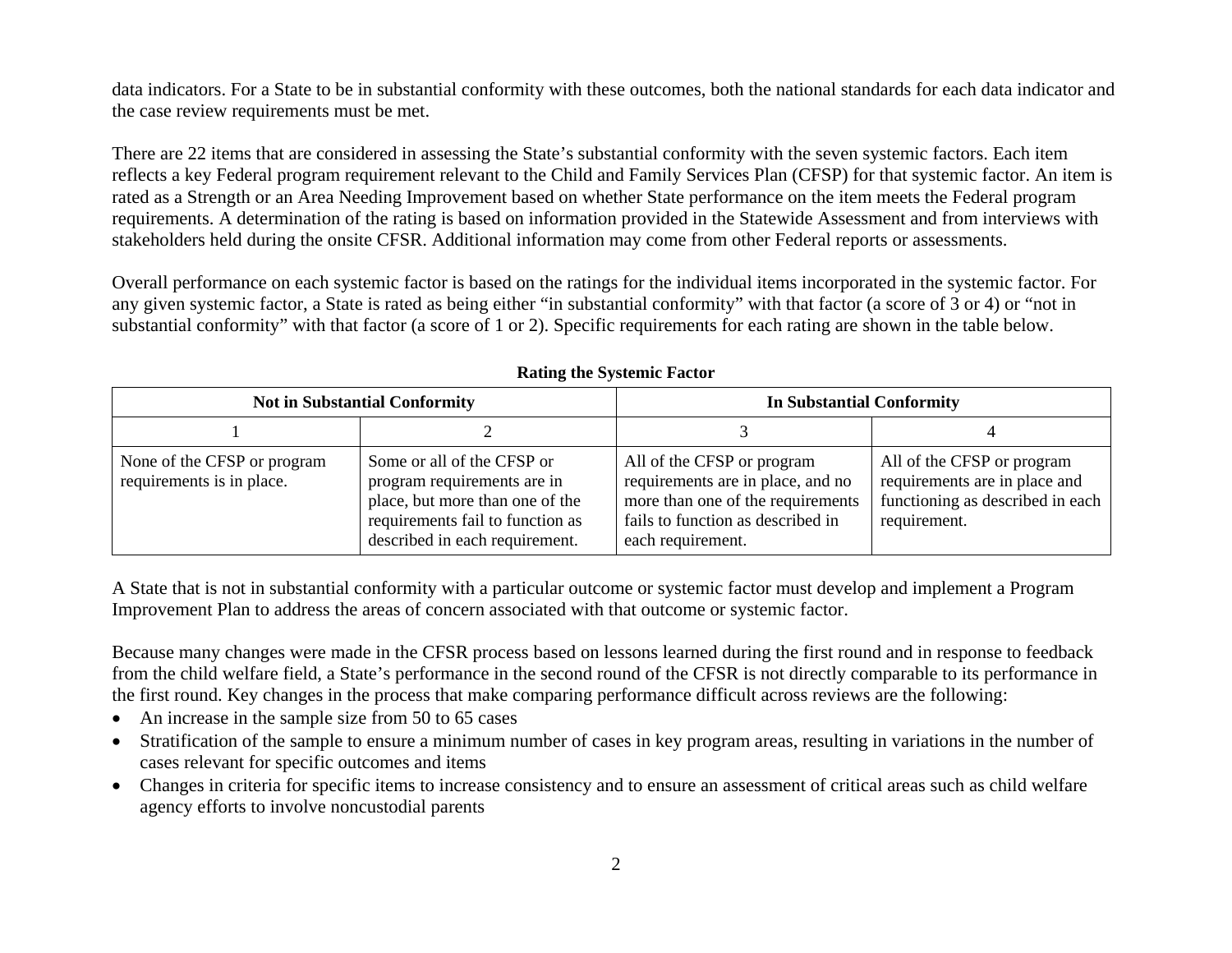data indicators. For a State to be in substantial conformity with these outcomes, both the national standards for each data indicator and the case review requirements must be met.

There are 22 items that are considered in assessing the State's substantial conformity with the seven systemic factors. Each item reflects a key Federal program requirement relevant to the Child and Family Services Plan (CFSP) for that systemic factor. An item is rated as a Strength or an Area Needing Improvement based on whether State performance on the item meets the Federal program requirements. A determination of the rating is based on information provided in the Statewide Assessment and from interviews with stakeholders held during the onsite CFSR. Additional information may come from other Federal reports or assessments.

Overall performance on each systemic factor is based on the ratings for the individual items incorporated in the systemic factor. For any given systemic factor, a State is rated as being either "in substantial conformity" with that factor (a score of 3 or 4) or "not in substantial conformity" with that factor (a score of 1 or 2). Specific requirements for each rating are shown in the table below.

|                                                          | <b>Not in Substantial Conformity</b>                                                                                                                               | <b>In Substantial Conformity</b>                                                                                                                               |                                                                                                                 |
|----------------------------------------------------------|--------------------------------------------------------------------------------------------------------------------------------------------------------------------|----------------------------------------------------------------------------------------------------------------------------------------------------------------|-----------------------------------------------------------------------------------------------------------------|
|                                                          |                                                                                                                                                                    |                                                                                                                                                                |                                                                                                                 |
| None of the CFSP or program<br>requirements is in place. | Some or all of the CFSP or<br>program requirements are in<br>place, but more than one of the<br>requirements fail to function as<br>described in each requirement. | All of the CFSP or program<br>requirements are in place, and no<br>more than one of the requirements<br>fails to function as described in<br>each requirement. | All of the CFSP or program<br>requirements are in place and<br>functioning as described in each<br>requirement. |

**Rating the Systemic Factor**

A State that is not in substantial conformity with a particular outcome or systemic factor must develop and implement a Program Improvement Plan to address the areas of concern associated with that outcome or systemic factor.

Because many changes were made in the CFSR process based on lessons learned during the first round and in response to feedback from the child welfare field, a State's performance in the second round of the CFSR is not directly comparable to its performance in the first round. Key changes in the process that make comparing performance difficult across reviews are the following:

- An increase in the sample size from 50 to 65 cases
- • Stratification of the sample to ensure a minimum number of cases in key program areas, resulting in variations in the number of cases relevant for specific outcomes and items
- Changes in criteria for specific items to increase consistency and to ensure an assessment of critical areas such as child welfare agency efforts to involve noncustodial parents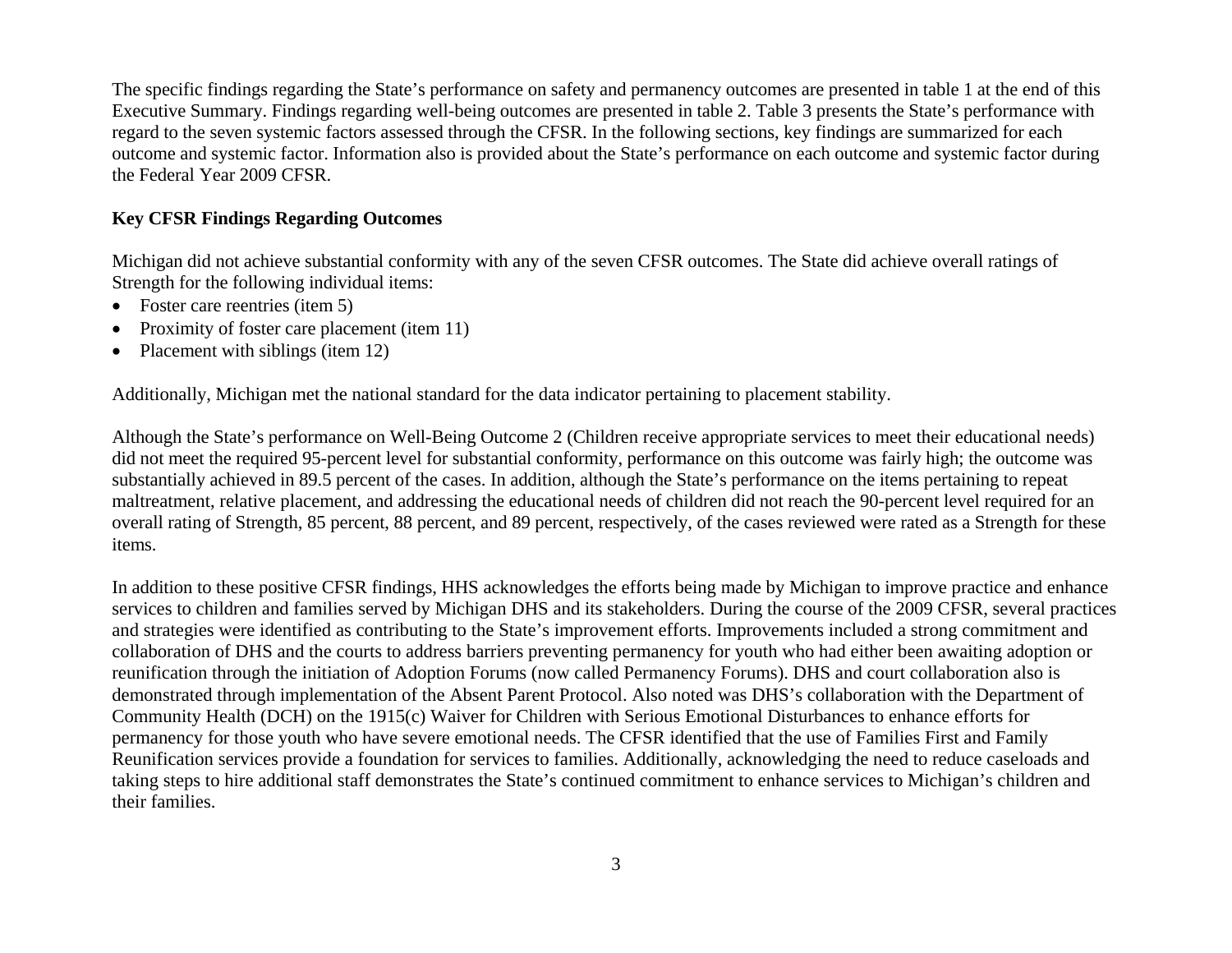The specific findings regarding the State's performance on safety and permanency outcomes are presented in table 1 at the end of this Executive Summary. Findings regarding well-being outcomes are presented in table 2. Table 3 presents the State's performance with regard to the seven systemic factors assessed through the CFSR. In the following sections, key findings are summarized for each outcome and systemic factor. Information also is provided about the State's performance on each outcome and systemic factor during the Federal Year 2009 CFSR.

## **Key CFSR Findings Regarding Outcomes**

Michigan did not achieve substantial conformity with any of the seven CFSR outcomes. The State did achieve overall ratings of Strength for the following individual items:

- Foster care reentries (item 5)
- •Proximity of foster care placement (item 11)
- •Placement with siblings (item 12)

Additionally, Michigan met the national standard for the data indicator pertaining to placement stability.

Although the State's performance on Well-Being Outcome 2 (Children receive appropriate services to meet their educational needs) did not meet the required 95-percent level for substantial conformity, performance on this outcome was fairly high; the outcome was substantially achieved in 89.5 percent of the cases. In addition, although the State's performance on the items pertaining to repeat maltreatment, relative placement, and addressing the educational needs of children did not reach the 90-percent level required for an overall rating of Strength, 85 percent, 88 percent, and 89 percent, respectively, of the cases reviewed were rated as a Strength for these items.

In addition to these positive CFSR findings, HHS acknowledges the efforts being made by Michigan to improve practice and enhance services to children and families served by Michigan DHS and its stakeholders. During the course of the 2009 CFSR, several practices and strategies were identified as contributing to the State's improvement efforts. Improvements included a strong commitment and collaboration of DHS and the courts to address barriers preventing permanency for youth who had either been awaiting adoption or reunification through the initiation of Adoption Forums (now called Permanency Forums). DHS and court collaboration also is demonstrated through implementation of the Absent Parent Protocol. Also noted was DHS's collaboration with the Department of Community Health (DCH) on the 1915(c) Waiver for Children with Serious Emotional Disturbances to enhance efforts for permanency for those youth who have severe emotional needs. The CFSR identified that the use of Families First and Family Reunification services provide a foundation for services to families. Additionally, acknowledging the need to reduce caseloads and taking steps to hire additional staff demonstrates the State's continued commitment to enhance services to Michigan's children and their families.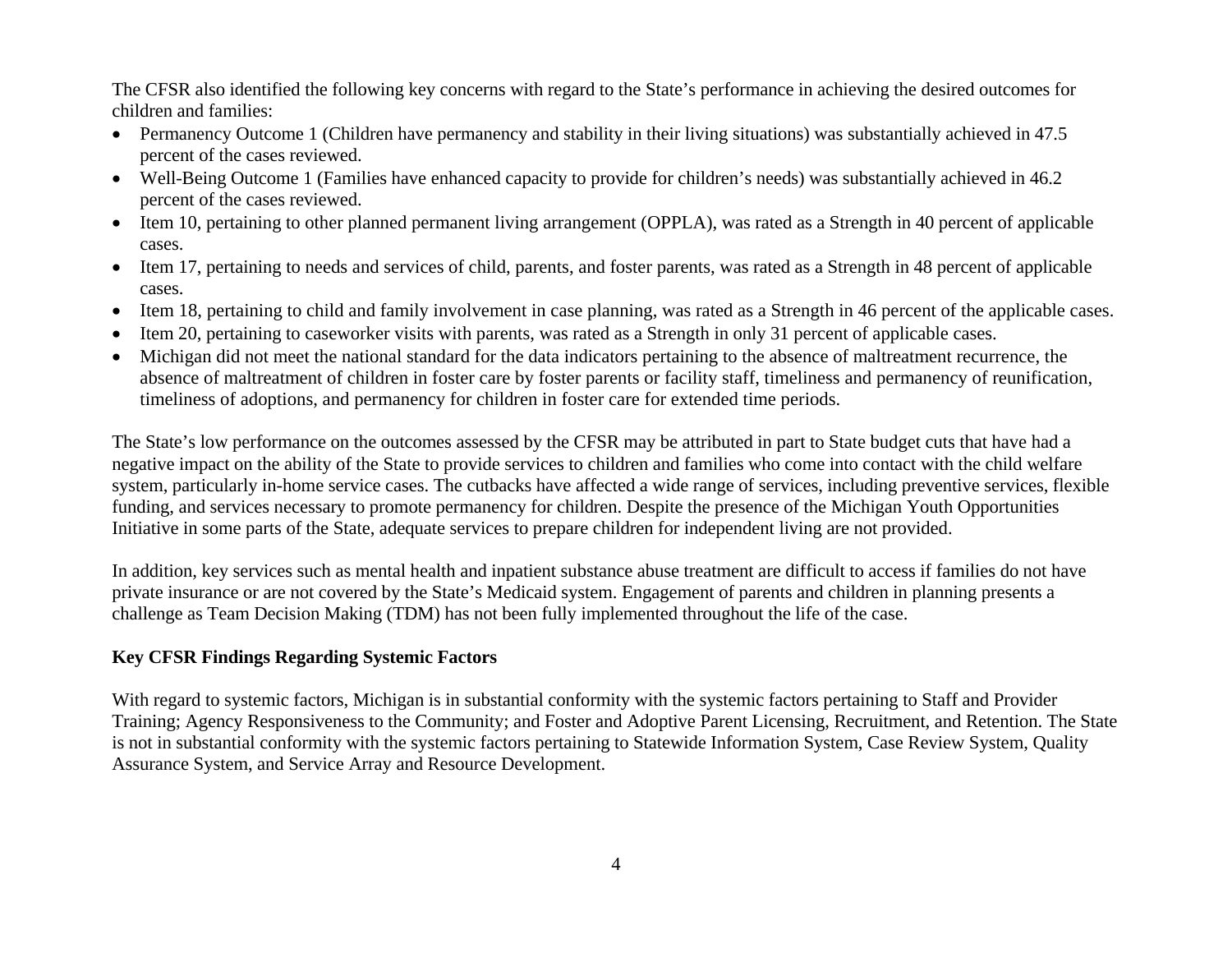The CFSR also identified the following key concerns with regard to the State's performance in achieving the desired outcomes for children and families:

- Permanency Outcome 1 (Children have permanency and stability in their living situations) was substantially achieved in 47.5 percent of the cases reviewed.
- Well-Being Outcome 1 (Families have enhanced capacity to provide for children's needs) was substantially achieved in 46.2 percent of the cases reviewed.
- Item 10, pertaining to other planned permanent living arrangement (OPPLA), was rated as a Strength in 40 percent of applicable cases.
- Item 17, pertaining to needs and services of child, parents, and foster parents, was rated as a Strength in 48 percent of applicable cases.
- Item 18, pertaining to child and family involvement in case planning, was rated as a Strength in 46 percent of the applicable cases.
- •Item 20, pertaining to caseworker visits with parents, was rated as a Strength in only 31 percent of applicable cases.
- Michigan did not meet the national standard for the data indicators pertaining to the absence of maltreatment recurrence, the absence of maltreatment of children in foster care by foster parents or facility staff, timeliness and permanency of reunification, timeliness of adoptions, and permanency for children in foster care for extended time periods.

The State's low performance on the outcomes assessed by the CFSR may be attributed in part to State budget cuts that have had a negative impact on the ability of the State to provide services to children and families who come into contact with the child welfare system, particularly in-home service cases. The cutbacks have affected a wide range of services, including preventive services, flexible funding, and services necessary to promote permanency for children. Despite the presence of the Michigan Youth Opportunities Initiative in some parts of the State, adequate services to prepare children for independent living are not provided.

In addition, key services such as mental health and inpatient substance abuse treatment are difficult to access if families do not have private insurance or are not covered by the State's Medicaid system. Engagement of parents and children in planning presents a challenge as Team Decision Making (TDM) has not been fully implemented throughout the life of the case.

## **Key CFSR Findings Regarding Systemic Factors**

With regard to systemic factors, Michigan is in substantial conformity with the systemic factors pertaining to Staff and Provider Training; Agency Responsiveness to the Community; and Foster and Adoptive Parent Licensing, Recruitment, and Retention. The State is not in substantial conformity with the systemic factors pertaining to Statewide Information System, Case Review System, Quality Assurance System, and Service Array and Resource Development.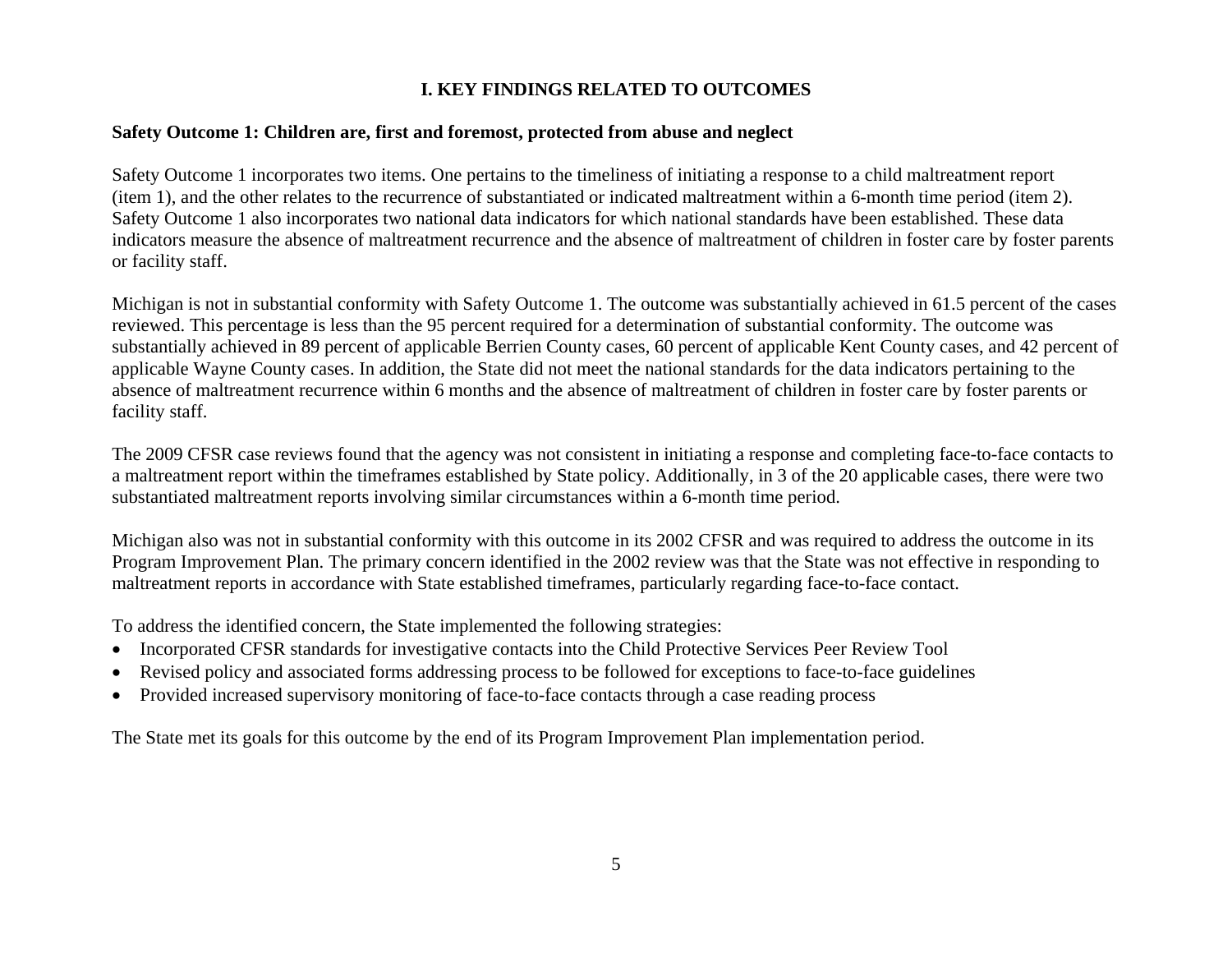# **I. KEY FINDINGS RELATED TO OUTCOMES**

### **Safety Outcome 1: Children are, first and foremost, protected from abuse and neglect**

Safety Outcome 1 incorporates two items. One pertains to the timeliness of initiating a response to a child maltreatment report (item 1), and the other relates to the recurrence of substantiated or indicated maltreatment within a 6-month time period (item 2). Safety Outcome 1 also incorporates two national data indicators for which national standards have been established. These data indicators measure the absence of maltreatment recurrence and the absence of maltreatment of children in foster care by foster parents or facility staff.

Michigan is not in substantial conformity with Safety Outcome 1. The outcome was substantially achieved in 61.5 percent of the cases reviewed. This percentage is less than the 95 percent required for a determination of substantial conformity. The outcome was substantially achieved in 89 percent of applicable Berrien County cases, 60 percent of applicable Kent County cases, and 42 percent of applicable Wayne County cases. In addition, the State did not meet the national standards for the data indicators pertaining to the absence of maltreatment recurrence within 6 months and the absence of maltreatment of children in foster care by foster parents or facility staff.

The 2009 CFSR case reviews found that the agency was not consistent in initiating a response and completing face-to-face contacts to a maltreatment report within the timeframes established by State policy. Additionally, in 3 of the 20 applicable cases, there were two substantiated maltreatment reports involving similar circumstances within a 6-month time period.

Michigan also was not in substantial conformity with this outcome in its 2002 CFSR and was required to address the outcome in its Program Improvement Plan. The primary concern identified in the 2002 review was that the State was not effective in responding to maltreatment reports in accordance with State established timeframes, particularly regarding face-to-face contact.

To address the identified concern, the State implemented the following strategies:

- •Incorporated CFSR standards for investigative contacts into the Child Protective Services Peer Review Tool
- •Revised policy and associated forms addressing process to be followed for exceptions to face-to-face guidelines
- •Provided increased supervisory monitoring of face-to-face contacts through a case reading process

The State met its goals for this outcome by the end of its Program Improvement Plan implementation period.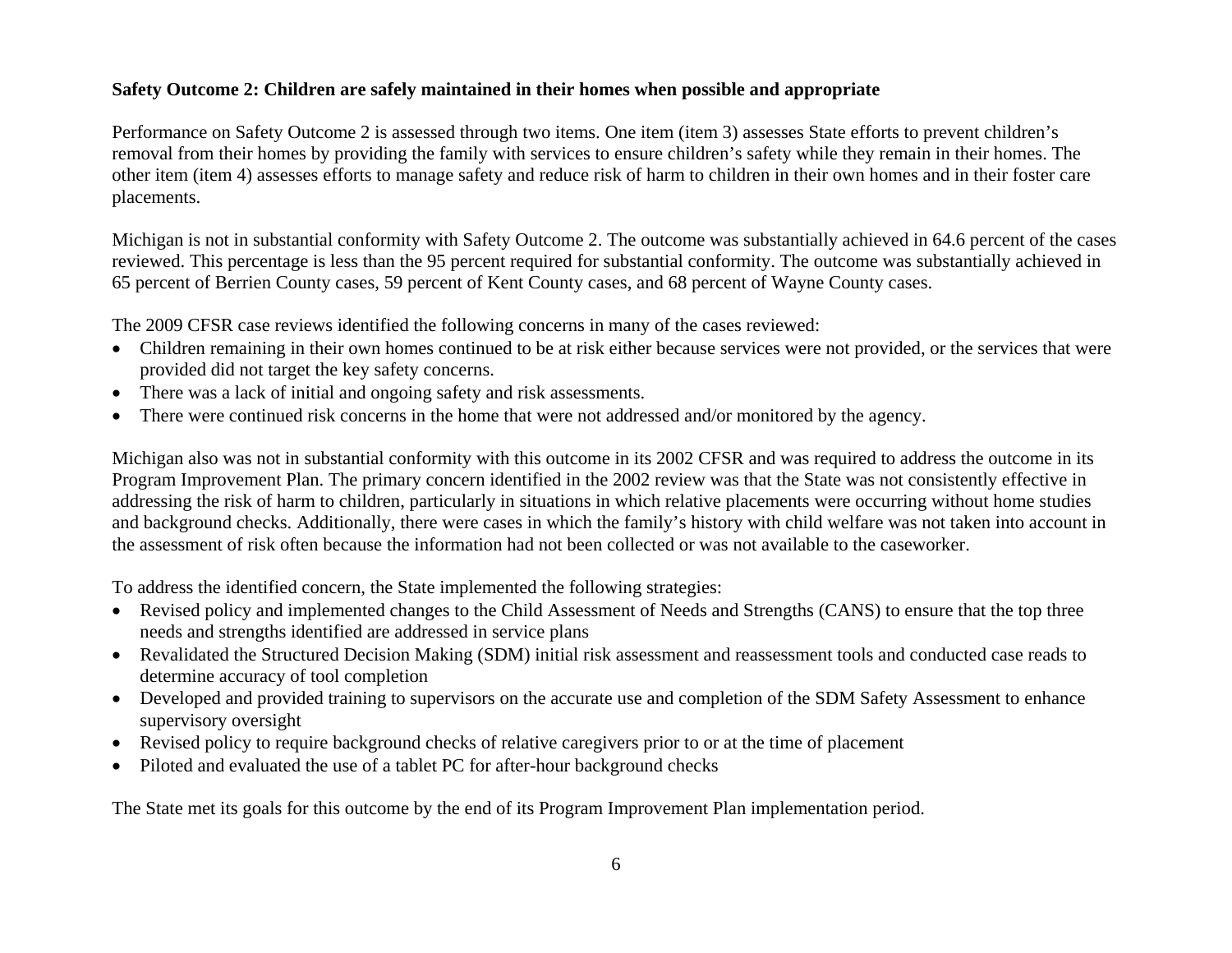## **Safety Outcome 2: Children are safely maintained in their homes when possible and appropriate**

Performance on Safety Outcome 2 is assessed through two items. One item (item 3) assesses State efforts to prevent children's removal from their homes by providing the family with services to ensure children's safety while they remain in their homes. The other item (item 4) assesses efforts to manage safety and reduce risk of harm to children in their own homes and in their foster care placements.

Michigan is not in substantial conformity with Safety Outcome 2. The outcome was substantially achieved in 64.6 percent of the cases reviewed. This percentage is less than the 95 percent required for substantial conformity. The outcome was substantially achieved in 65 percent of Berrien County cases, 59 percent of Kent County cases, and 68 percent of Wayne County cases.

The 2009 CFSR case reviews identified the following concerns in many of the cases reviewed:

- Children remaining in their own homes continued to be at risk either because services were not provided, or the services that were provided did not target the key safety concerns.
- There was a lack of initial and ongoing safety and risk assessments.
- There were continued risk concerns in the home that were not addressed and/or monitored by the agency.

Michigan also was not in substantial conformity with this outcome in its 2002 CFSR and was required to address the outcome in its Program Improvement Plan. The primary concern identified in the 2002 review was that the State was not consistently effective in addressing the risk of harm to children, particularly in situations in which relative placements were occurring without home studies and background checks. Additionally, there were cases in which the family's history with child welfare was not taken into account in the assessment of risk often because the information had not been collected or was not available to the caseworker.

To address the identified concern, the State implemented the following strategies:

- Revised policy and implemented changes to the Child Assessment of Needs and Strengths (CANS) to ensure that the top three needs and strengths identified are addressed in service plans
- Revalidated the Structured Decision Making (SDM) initial risk assessment and reassessment tools and conducted case reads to determine accuracy of tool completion
- Developed and provided training to supervisors on the accurate use and completion of the SDM Safety Assessment to enhance supervisory oversight
- Revised policy to require background checks of relative caregivers prior to or at the time of placement
- •Piloted and evaluated the use of a tablet PC for after-hour background checks

The State met its goals for this outcome by the end of its Program Improvement Plan implementation period.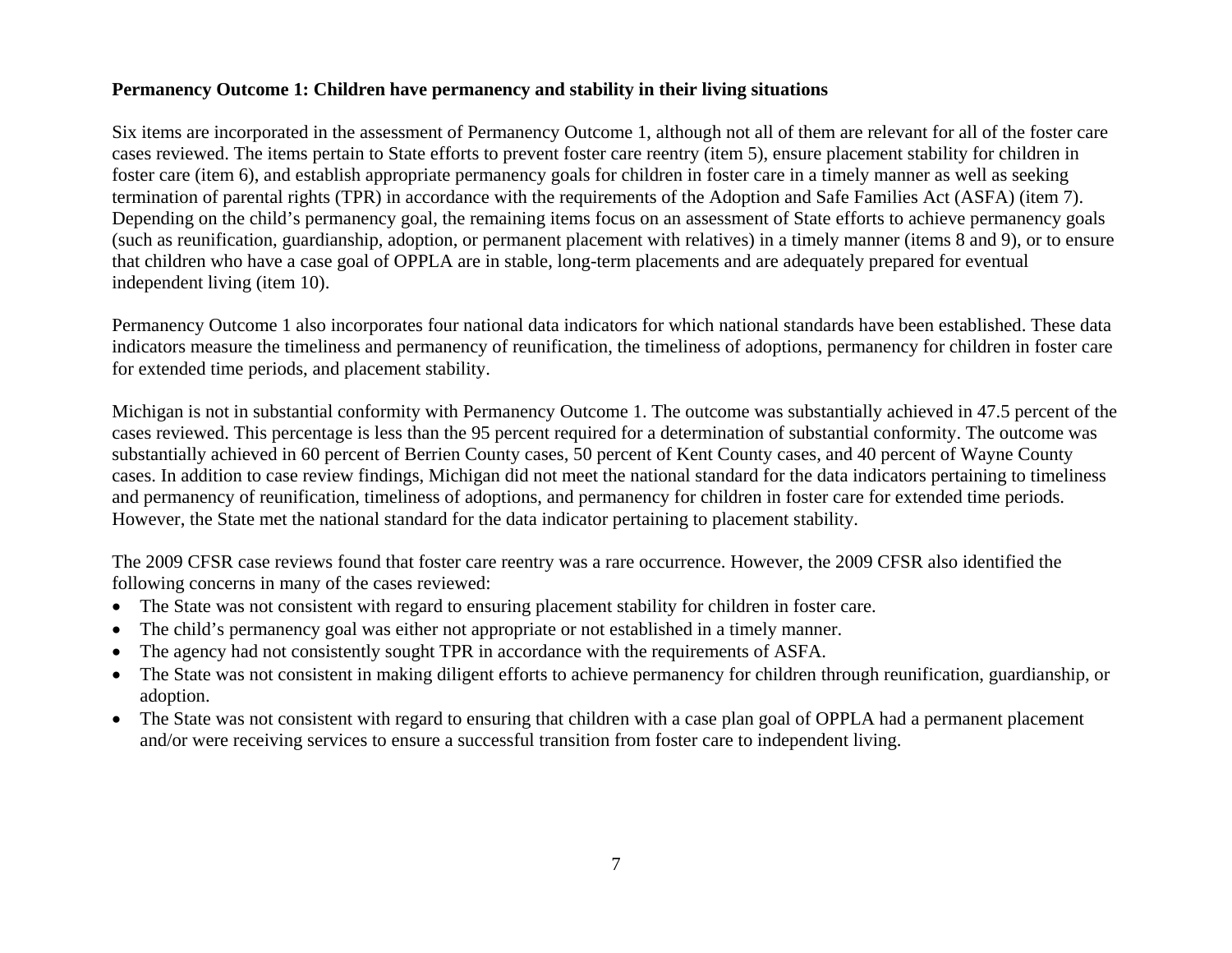### **Permanency Outcome 1: Children have permanency and stability in their living situations**

Six items are incorporated in the assessment of Permanency Outcome 1, although not all of them are relevant for all of the foster care cases reviewed. The items pertain to State efforts to prevent foster care reentry (item 5), ensure placement stability for children in foster care (item 6), and establish appropriate permanency goals for children in foster care in a timely manner as well as seeking termination of parental rights (TPR) in accordance with the requirements of the Adoption and Safe Families Act (ASFA) (item 7). Depending on the child's permanency goal, the remaining items focus on an assessment of State efforts to achieve permanency goals (such as reunification, guardianship, adoption, or permanent placement with relatives) in a timely manner (items 8 and 9), or to ensure that children who have a case goal of OPPLA are in stable, long-term placements and are adequately prepared for eventual independent living (item 10).

Permanency Outcome 1 also incorporates four national data indicators for which national standards have been established. These data indicators measure the timeliness and permanency of reunification, the timeliness of adoptions, permanency for children in foster care for extended time periods, and placement stability.

Michigan is not in substantial conformity with Permanency Outcome 1. The outcome was substantially achieved in 47.5 percent of the cases reviewed. This percentage is less than the 95 percent required for a determination of substantial conformity. The outcome was substantially achieved in 60 percent of Berrien County cases, 50 percent of Kent County cases, and 40 percent of Wayne County cases. In addition to case review findings, Michigan did not meet the national standard for the data indicators pertaining to timeliness and permanency of reunification, timeliness of adoptions, and permanency for children in foster care for extended time periods. However, the State met the national standard for the data indicator pertaining to placement stability.

The 2009 CFSR case reviews found that foster care reentry was a rare occurrence. However, the 2009 CFSR also identified the following concerns in many of the cases reviewed:

- The State was not consistent with regard to ensuring placement stability for children in foster care.
- •The child's permanency goal was either not appropriate or not established in a timely manner.
- •The agency had not consistently sought TPR in accordance with the requirements of ASFA.
- • The State was not consistent in making diligent efforts to achieve permanency for children through reunification, guardianship, or adoption.
- The State was not consistent with regard to ensuring that children with a case plan goal of OPPLA had a permanent placement and/or were receiving services to ensure a successful transition from foster care to independent living.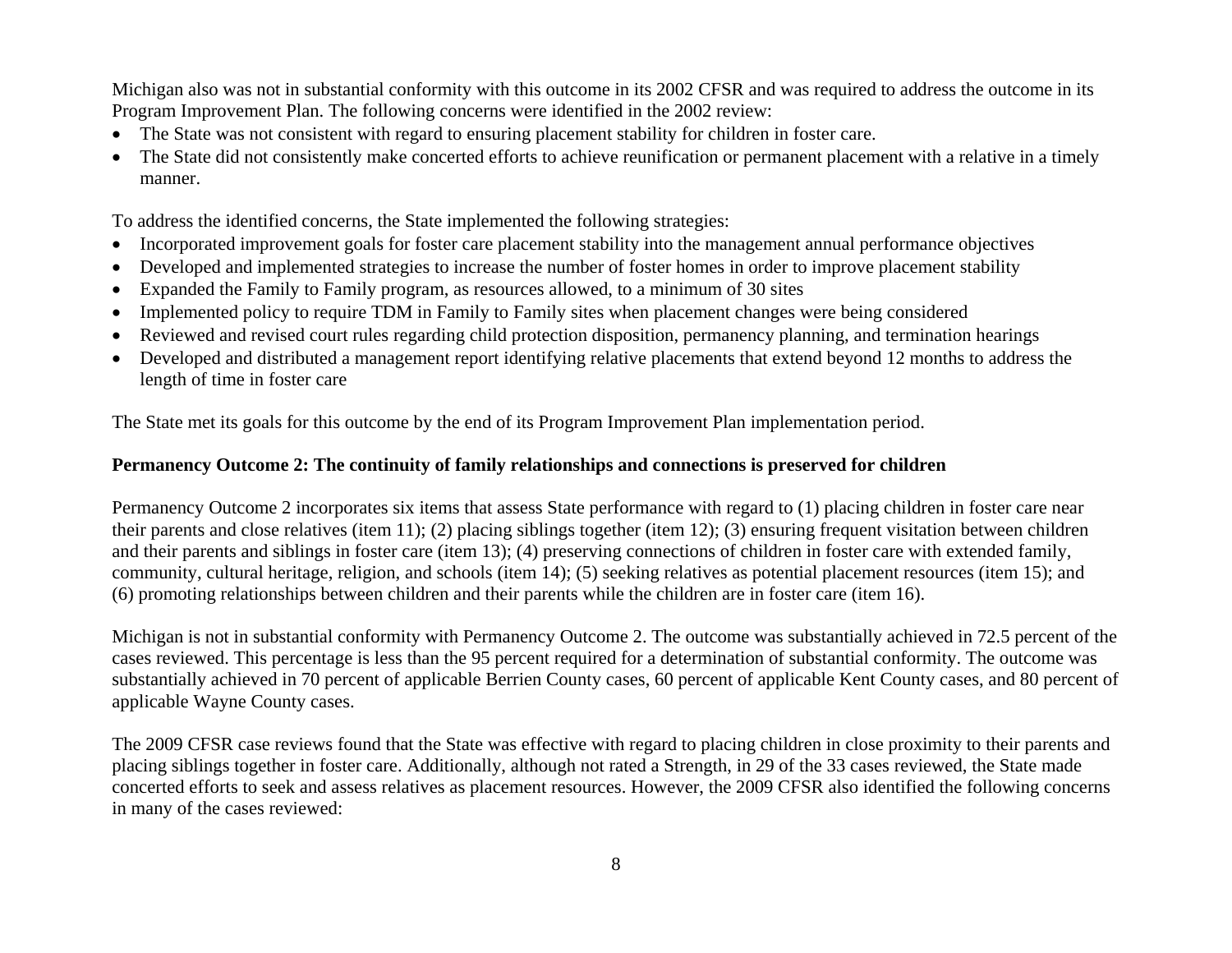Michigan also was not in substantial conformity with this outcome in its 2002 CFSR and was required to address the outcome in its Program Improvement Plan. The following concerns were identified in the 2002 review:

- The State was not consistent with regard to ensuring placement stability for children in foster care.
- The State did not consistently make concerted efforts to achieve reunification or permanent placement with a relative in a timely manner.

To address the identified concerns, the State implemented the following strategies:

- Incorporated improvement goals for foster care placement stability into the management annual performance objectives
- •Developed and implemented strategies to increase the number of foster homes in order to improve placement stability
- •Expanded the Family to Family program, as resources allowed, to a minimum of 30 sites
- •Implemented policy to require TDM in Family to Family sites when placement changes were being considered
- •Reviewed and revised court rules regarding child protection disposition, permanency planning, and termination hearings
- • Developed and distributed a management report identifying relative placements that extend beyond 12 months to address the length of time in foster care

The State met its goals for this outcome by the end of its Program Improvement Plan implementation period.

### **Permanency Outcome 2: The continuity of family relationships and connections is preserved for children**

Permanency Outcome 2 incorporates six items that assess State performance with regard to (1) placing children in foster care near their parents and close relatives (item 11); (2) placing siblings together (item 12); (3) ensuring frequent visitation between children and their parents and siblings in foster care (item 13); (4) preserving connections of children in foster care with extended family, community, cultural heritage, religion, and schools (item 14); (5) seeking relatives as potential placement resources (item 15); and (6) promoting relationships between children and their parents while the children are in foster care (item 16).

Michigan is not in substantial conformity with Permanency Outcome 2. The outcome was substantially achieved in 72.5 percent of the cases reviewed. This percentage is less than the 95 percent required for a determination of substantial conformity. The outcome was substantially achieved in 70 percent of applicable Berrien County cases, 60 percent of applicable Kent County cases, and 80 percent of applicable Wayne County cases.

The 2009 CFSR case reviews found that the State was effective with regard to placing children in close proximity to their parents and placing siblings together in foster care. Additionally, although not rated a Strength, in 29 of the 33 cases reviewed, the State made concerted efforts to seek and assess relatives as placement resources. However, the 2009 CFSR also identified the following concerns in many of the cases reviewed: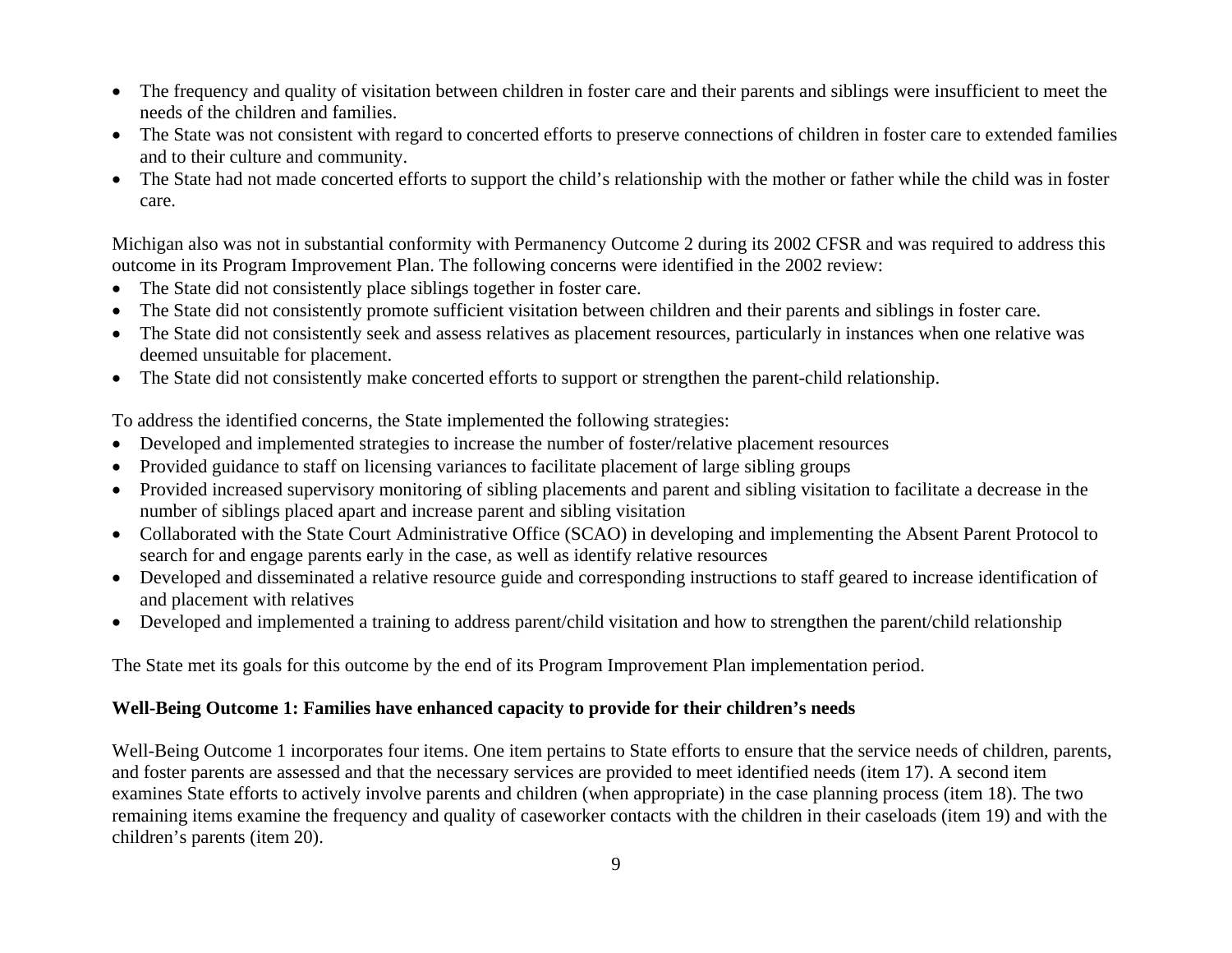- The frequency and quality of visitation between children in foster care and their parents and siblings were insufficient to meet the needs of the children and families.
- The State was not consistent with regard to concerted efforts to preserve connections of children in foster care to extended families and to their culture and community.
- The State had not made concerted efforts to support the child's relationship with the mother or father while the child was in foster care.

Michigan also was not in substantial conformity with Permanency Outcome 2 during its 2002 CFSR and was required to address this outcome in its Program Improvement Plan. The following concerns were identified in the 2002 review:

- The State did not consistently place siblings together in foster care.
- The State did not consistently promote sufficient visitation between children and their parents and siblings in foster care.
- The State did not consistently seek and assess relatives as placement resources, particularly in instances when one relative was deemed unsuitable for placement.
- The State did not consistently make concerted efforts to support or strengthen the parent-child relationship.

To address the identified concerns, the State implemented the following strategies:

- Developed and implemented strategies to increase the number of foster/relative placement resources
- Provided guidance to staff on licensing variances to facilitate placement of large sibling groups
- Provided increased supervisory monitoring of sibling placements and parent and sibling visitation to facilitate a decrease in the number of siblings placed apart and increase parent and sibling visitation
- Collaborated with the State Court Administrative Office (SCAO) in developing and implementing the Absent Parent Protocol to search for and engage parents early in the case, as well as identify relative resources
- Developed and disseminated a relative resource guide and corresponding instructions to staff geared to increase identification of and placement with relatives
- Developed and implemented a training to address parent/child visitation and how to strengthen the parent/child relationship

The State met its goals for this outcome by the end of its Program Improvement Plan implementation period.

## **Well-Being Outcome 1: Families have enhanced capacity to provide for their children's needs**

Well-Being Outcome 1 incorporates four items. One item pertains to State efforts to ensure that the service needs of children, parents, and foster parents are assessed and that the necessary services are provided to meet identified needs (item 17). A second item examines State efforts to actively involve parents and children (when appropriate) in the case planning process (item 18). The two remaining items examine the frequency and quality of caseworker contacts with the children in their caseloads (item 19) and with the children's parents (item 20).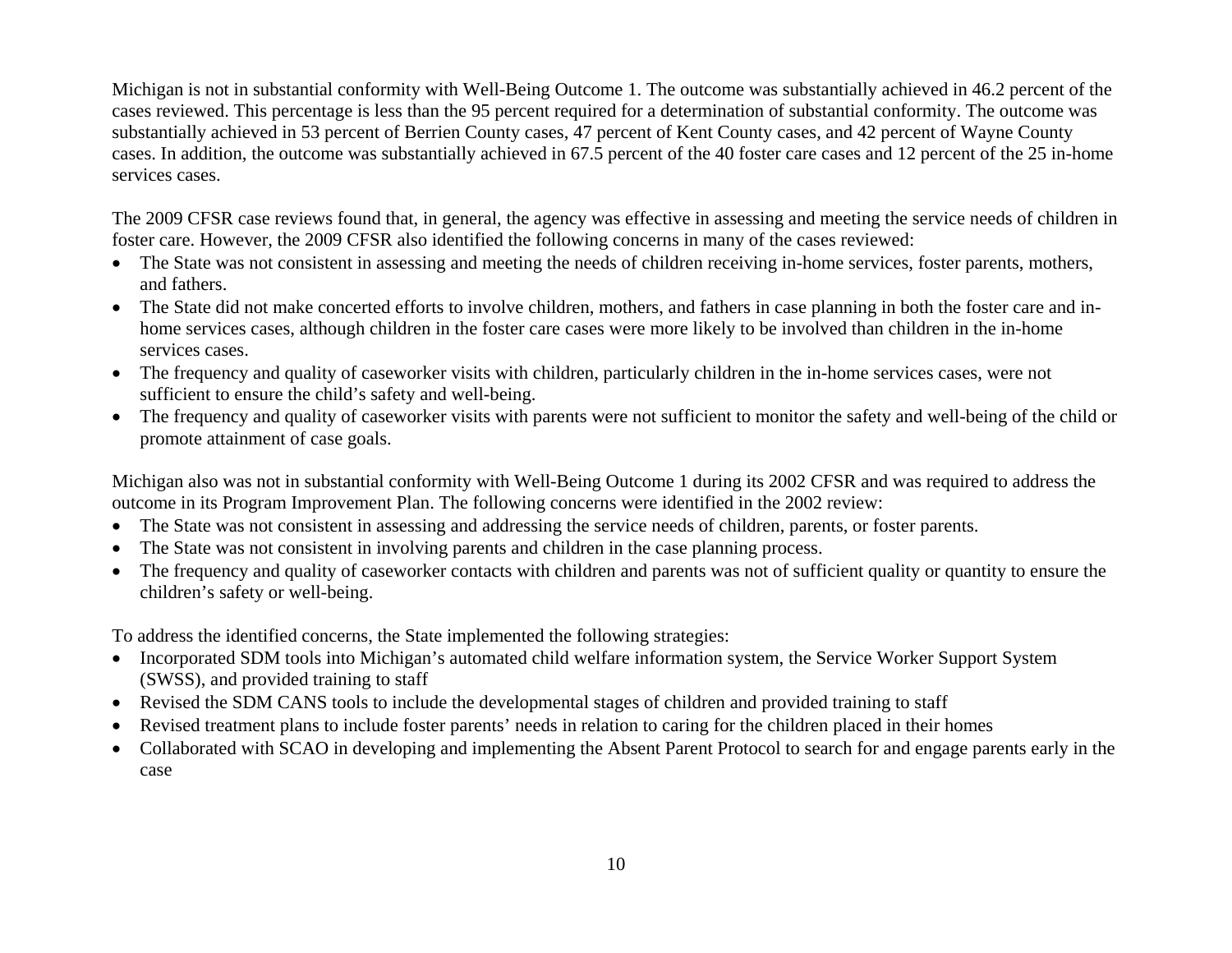Michigan is not in substantial conformity with Well-Being Outcome 1. The outcome was substantially achieved in 46.2 percent of the cases reviewed. This percentage is less than the 95 percent required for a determination of substantial conformity. The outcome was substantially achieved in 53 percent of Berrien County cases, 47 percent of Kent County cases, and 42 percent of Wayne County cases. In addition, the outcome was substantially achieved in 67.5 percent of the 40 foster care cases and 12 percent of the 25 in-home services cases.

The 2009 CFSR case reviews found that, in general, the agency was effective in assessing and meeting the service needs of children in foster care. However, the 2009 CFSR also identified the following concerns in many of the cases reviewed:

- The State was not consistent in assessing and meeting the needs of children receiving in-home services, foster parents, mothers, and fathers.
- The State did not make concerted efforts to involve children, mothers, and fathers in case planning in both the foster care and inhome services cases, although children in the foster care cases were more likely to be involved than children in the in-home services cases.
- The frequency and quality of caseworker visits with children, particularly children in the in-home services cases, were not sufficient to ensure the child's safety and well-being.
- The frequency and quality of caseworker visits with parents were not sufficient to monitor the safety and well-being of the child or promote attainment of case goals.

Michigan also was not in substantial conformity with Well-Being Outcome 1 during its 2002 CFSR and was required to address the outcome in its Program Improvement Plan. The following concerns were identified in the 2002 review:

- The State was not consistent in assessing and addressing the service needs of children, parents, or foster parents.
- •The State was not consistent in involving parents and children in the case planning process.
- The frequency and quality of caseworker contacts with children and parents was not of sufficient quality or quantity to ensure the children's safety or well-being.

To address the identified concerns, the State implemented the following strategies:

- Incorporated SDM tools into Michigan's automated child welfare information system, the Service Worker Support System (SWSS), and provided training to staff
- Revised the SDM CANS tools to include the developmental stages of children and provided training to staff
- •Revised treatment plans to include foster parents' needs in relation to caring for the children placed in their homes
- Collaborated with SCAO in developing and implementing the Absent Parent Protocol to search for and engage parents early in the case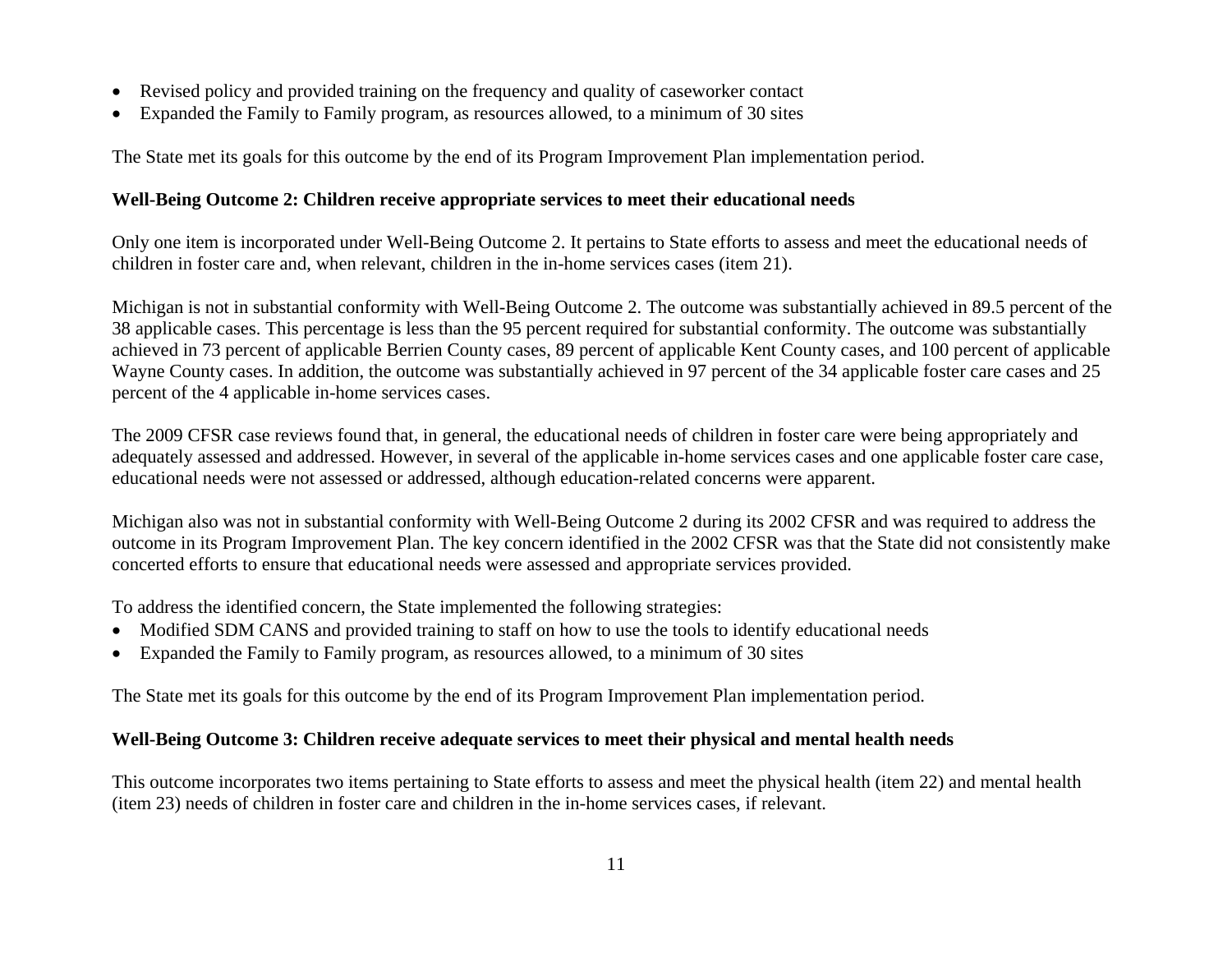- Revised policy and provided training on the frequency and quality of caseworker contact
- Expanded the Family to Family program, as resources allowed, to a minimum of 30 sites

The State met its goals for this outcome by the end of its Program Improvement Plan implementation period.

# **Well-Being Outcome 2: Children receive appropriate services to meet their educational needs**

Only one item is incorporated under Well-Being Outcome 2. It pertains to State efforts to assess and meet the educational needs of children in foster care and, when relevant, children in the in-home services cases (item 21).

Michigan is not in substantial conformity with Well-Being Outcome 2. The outcome was substantially achieved in 89.5 percent of the 38 applicable cases. This percentage is less than the 95 percent required for substantial conformity. The outcome was substantially achieved in 73 percent of applicable Berrien County cases, 89 percent of applicable Kent County cases, and 100 percent of applicable Wayne County cases. In addition, the outcome was substantially achieved in 97 percent of the 34 applicable foster care cases and 25 percent of the 4 applicable in-home services cases.

The 2009 CFSR case reviews found that, in general, the educational needs of children in foster care were being appropriately and adequately assessed and addressed. However, in several of the applicable in-home services cases and one applicable foster care case, educational needs were not assessed or addressed, although education-related concerns were apparent.

Michigan also was not in substantial conformity with Well-Being Outcome 2 during its 2002 CFSR and was required to address the outcome in its Program Improvement Plan. The key concern identified in the 2002 CFSR was that the State did not consistently make concerted efforts to ensure that educational needs were assessed and appropriate services provided.

To address the identified concern, the State implemented the following strategies:

- Modified SDM CANS and provided training to staff on how to use the tools to identify educational needs
- Expanded the Family to Family program, as resources allowed, to a minimum of 30 sites

The State met its goals for this outcome by the end of its Program Improvement Plan implementation period.

# **Well-Being Outcome 3: Children receive adequate services to meet their physical and mental health needs**

This outcome incorporates two items pertaining to State efforts to assess and meet the physical health (item 22) and mental health (item 23) needs of children in foster care and children in the in-home services cases, if relevant.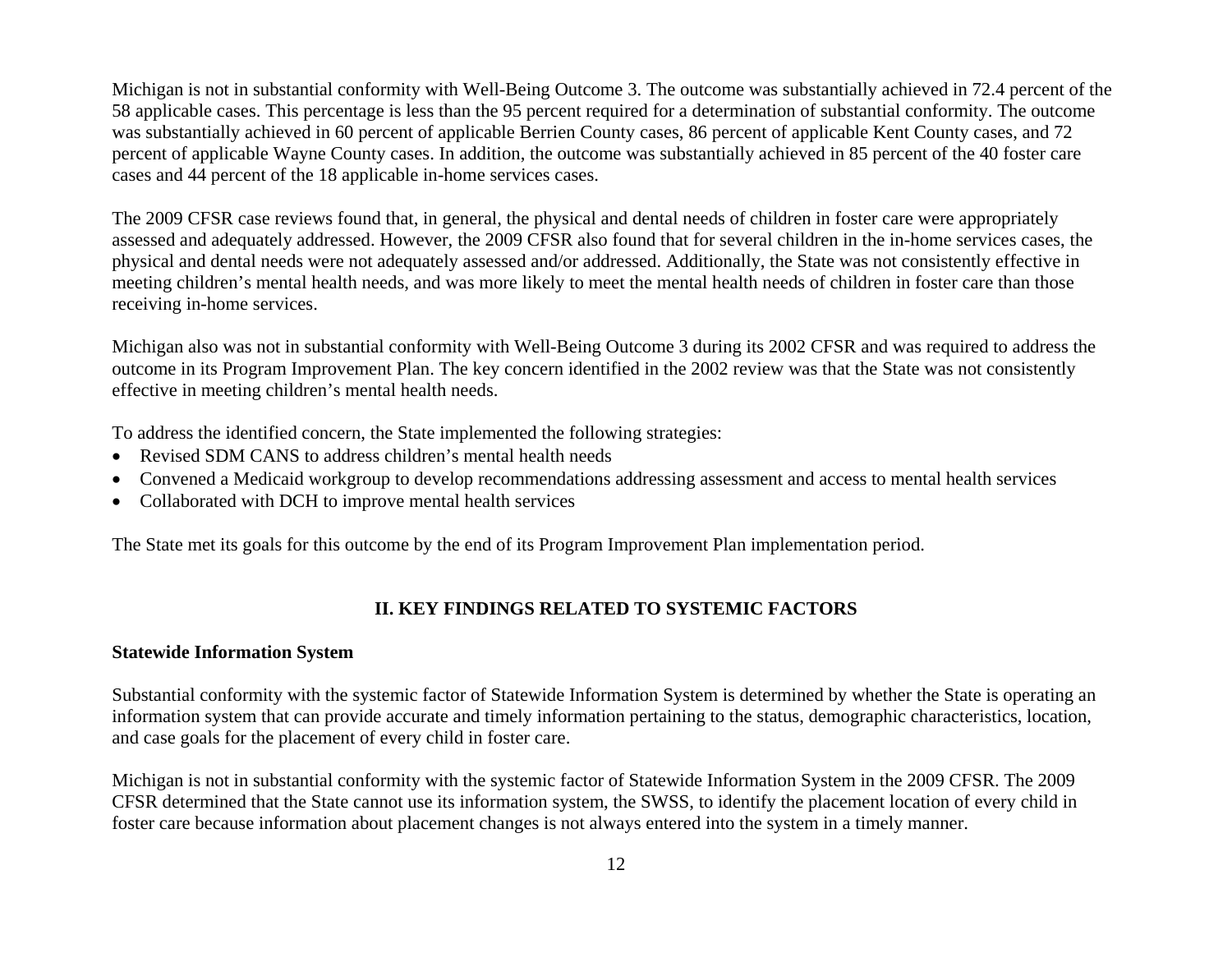Michigan is not in substantial conformity with Well-Being Outcome 3. The outcome was substantially achieved in 72.4 percent of the 58 applicable cases. This percentage is less than the 95 percent required for a determination of substantial conformity. The outcome was substantially achieved in 60 percent of applicable Berrien County cases, 86 percent of applicable Kent County cases, and 72 percent of applicable Wayne County cases. In addition, the outcome was substantially achieved in 85 percent of the 40 foster care cases and 44 percent of the 18 applicable in-home services cases.

The 2009 CFSR case reviews found that, in general, the physical and dental needs of children in foster care were appropriately assessed and adequately addressed. However, the 2009 CFSR also found that for several children in the in-home services cases, the physical and dental needs were not adequately assessed and/or addressed. Additionally, the State was not consistently effective in meeting children's mental health needs, and was more likely to meet the mental health needs of children in foster care than those receiving in-home services.

Michigan also was not in substantial conformity with Well-Being Outcome 3 during its 2002 CFSR and was required to address the outcome in its Program Improvement Plan. The key concern identified in the 2002 review was that the State was not consistently effective in meeting children's mental health needs.

To address the identified concern, the State implemented the following strategies:

- Revised SDM CANS to address children's mental health needs
- •Convened a Medicaid workgroup to develop recommendations addressing assessment and access to mental health services
- Collaborated with DCH to improve mental health services

The State met its goals for this outcome by the end of its Program Improvement Plan implementation period.

## **II. KEY FINDINGS RELATED TO SYSTEMIC FACTORS**

#### **Statewide Information System**

Substantial conformity with the systemic factor of Statewide Information System is determined by whether the State is operating an information system that can provide accurate and timely information pertaining to the status, demographic characteristics, location, and case goals for the placement of every child in foster care.

Michigan is not in substantial conformity with the systemic factor of Statewide Information System in the 2009 CFSR. The 2009 CFSR determined that the State cannot use its information system, the SWSS, to identify the placement location of every child in foster care because information about placement changes is not always entered into the system in a timely manner.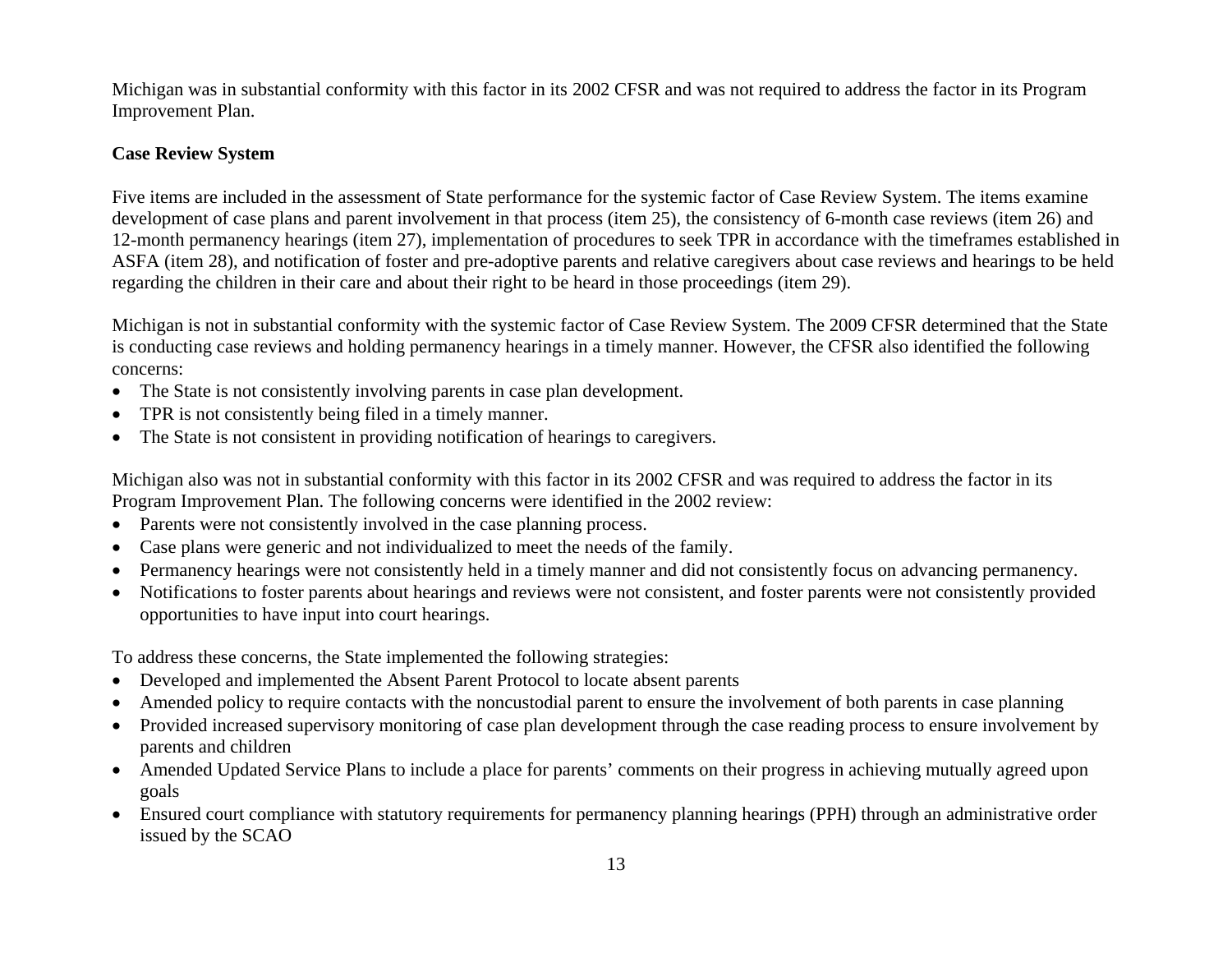Michigan was in substantial conformity with this factor in its 2002 CFSR and was not required to address the factor in its Program Improvement Plan.

## **Case Review System**

Five items are included in the assessment of State performance for the systemic factor of Case Review System. The items examine development of case plans and parent involvement in that process (item 25), the consistency of 6-month case reviews (item 26) and 12-month permanency hearings (item 27), implementation of procedures to seek TPR in accordance with the timeframes established in ASFA (item 28), and notification of foster and pre-adoptive parents and relative caregivers about case reviews and hearings to be held regarding the children in their care and about their right to be heard in those proceedings (item 29).

Michigan is not in substantial conformity with the systemic factor of Case Review System. The 2009 CFSR determined that the State is conducting case reviews and holding permanency hearings in a timely manner. However, the CFSR also identified the following concerns:

- The State is not consistently involving parents in case plan development.
- •TPR is not consistently being filed in a timely manner.
- •The State is not consistent in providing notification of hearings to caregivers.

Michigan also was not in substantial conformity with this factor in its 2002 CFSR and was required to address the factor in its Program Improvement Plan. The following concerns were identified in the 2002 review:

- Parents were not consistently involved in the case planning process.
- •Case plans were generic and not individualized to meet the needs of the family.
- Permanency hearings were not consistently held in a timely manner and did not consistently focus on advancing permanency.
- • Notifications to foster parents about hearings and reviews were not consistent, and foster parents were not consistently provided opportunities to have input into court hearings.

To address these concerns, the State implemented the following strategies:

- Developed and implemented the Absent Parent Protocol to locate absent parents
- •Amended policy to require contacts with the noncustodial parent to ensure the involvement of both parents in case planning
- • Provided increased supervisory monitoring of case plan development through the case reading process to ensure involvement by parents and children
- Amended Updated Service Plans to include a place for parents' comments on their progress in achieving mutually agreed upon goals
- Ensured court compliance with statutory requirements for permanency planning hearings (PPH) through an administrative order issued by the SCAO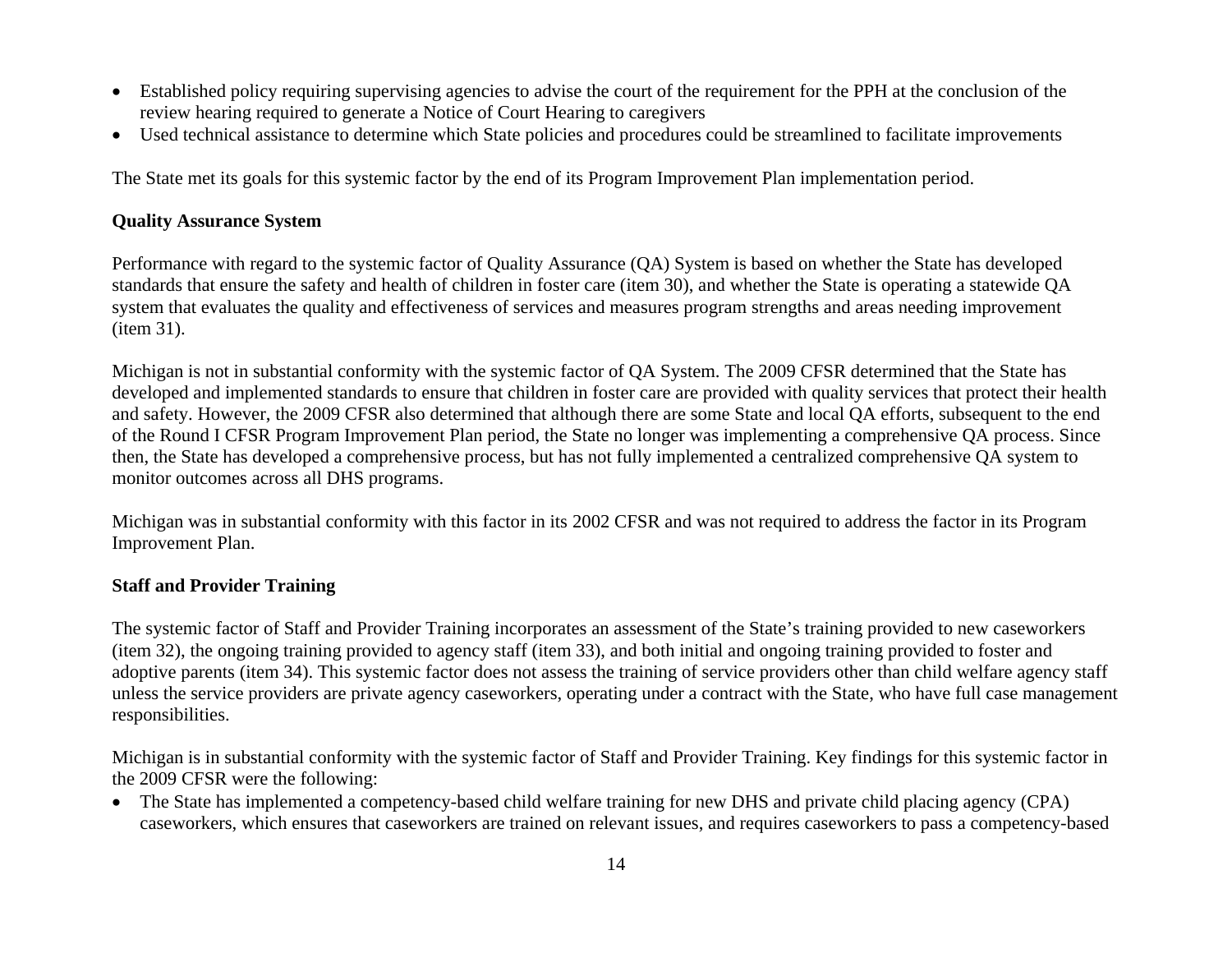- Established policy requiring supervising agencies to advise the court of the requirement for the PPH at the conclusion of the review hearing required to generate a Notice of Court Hearing to caregivers
- Used technical assistance to determine which State policies and procedures could be streamlined to facilitate improvements

The State met its goals for this systemic factor by the end of its Program Improvement Plan implementation period.

### **Quality Assurance System**

Performance with regard to the systemic factor of Quality Assurance (QA) System is based on whether the State has developed standards that ensure the safety and health of children in foster care (item 30), and whether the State is operating a statewide QA system that evaluates the quality and effectiveness of services and measures program strengths and areas needing improvement (item 31).

Michigan is not in substantial conformity with the systemic factor of QA System. The 2009 CFSR determined that the State has developed and implemented standards to ensure that children in foster care are provided with quality services that protect their health and safety. However, the 2009 CFSR also determined that although there are some State and local QA efforts, subsequent to the end of the Round I CFSR Program Improvement Plan period, the State no longer was implementing a comprehensive QA process. Since then, the State has developed a comprehensive process, but has not fully implemented a centralized comprehensive QA system to monitor outcomes across all DHS programs.

Michigan was in substantial conformity with this factor in its 2002 CFSR and was not required to address the factor in its Program Improvement Plan.

### **Staff and Provider Training**

The systemic factor of Staff and Provider Training incorporates an assessment of the State's training provided to new caseworkers (item 32), the ongoing training provided to agency staff (item 33), and both initial and ongoing training provided to foster and adoptive parents (item 34). This systemic factor does not assess the training of service providers other than child welfare agency staff unless the service providers are private agency caseworkers, operating under a contract with the State, who have full case management responsibilities.

Michigan is in substantial conformity with the systemic factor of Staff and Provider Training. Key findings for this systemic factor in the 2009 CFSR were the following:

• The State has implemented a competency-based child welfare training for new DHS and private child placing agency (CPA) caseworkers, which ensures that caseworkers are trained on relevant issues, and requires caseworkers to pass a competency-based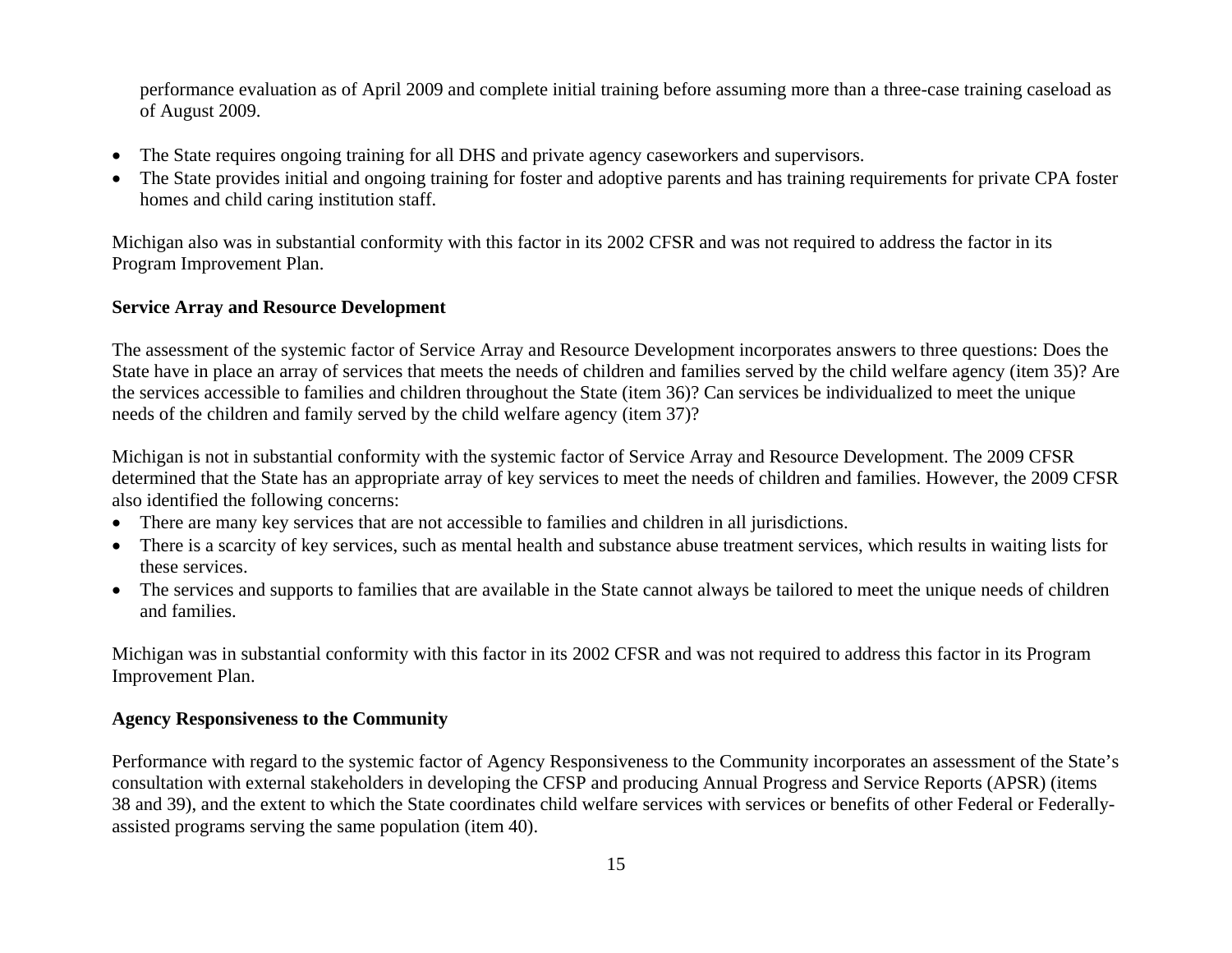performance evaluation as of April 2009 and complete initial training before assuming more than a three-case training caseload as of August 2009.

- •The State requires ongoing training for all DHS and private agency caseworkers and supervisors.
- The State provides initial and ongoing training for foster and adoptive parents and has training requirements for private CPA foster homes and child caring institution staff.

Michigan also was in substantial conformity with this factor in its 2002 CFSR and was not required to address the factor in its Program Improvement Plan.

### **Service Array and Resource Development**

The assessment of the systemic factor of Service Array and Resource Development incorporates answers to three questions: Does the State have in place an array of services that meets the needs of children and families served by the child welfare agency (item 35)? Are the services accessible to families and children throughout the State (item 36)? Can services be individualized to meet the unique needs of the children and family served by the child welfare agency (item 37)?

Michigan is not in substantial conformity with the systemic factor of Service Array and Resource Development. The 2009 CFSR determined that the State has an appropriate array of key services to meet the needs of children and families. However, the 2009 CFSR also identified the following concerns:

- There are many key services that are not accessible to families and children in all jurisdictions.
- There is a scarcity of key services, such as mental health and substance abuse treatment services, which results in waiting lists for these services.
- The services and supports to families that are available in the State cannot always be tailored to meet the unique needs of children and families.

Michigan was in substantial conformity with this factor in its 2002 CFSR and was not required to address this factor in its Program Improvement Plan.

### **Agency Responsiveness to the Community**

Performance with regard to the systemic factor of Agency Responsiveness to the Community incorporates an assessment of the State's consultation with external stakeholders in developing the CFSP and producing Annual Progress and Service Reports (APSR) (items 38 and 39), and the extent to which the State coordinates child welfare services with services or benefits of other Federal or Federallyassisted programs serving the same population (item 40).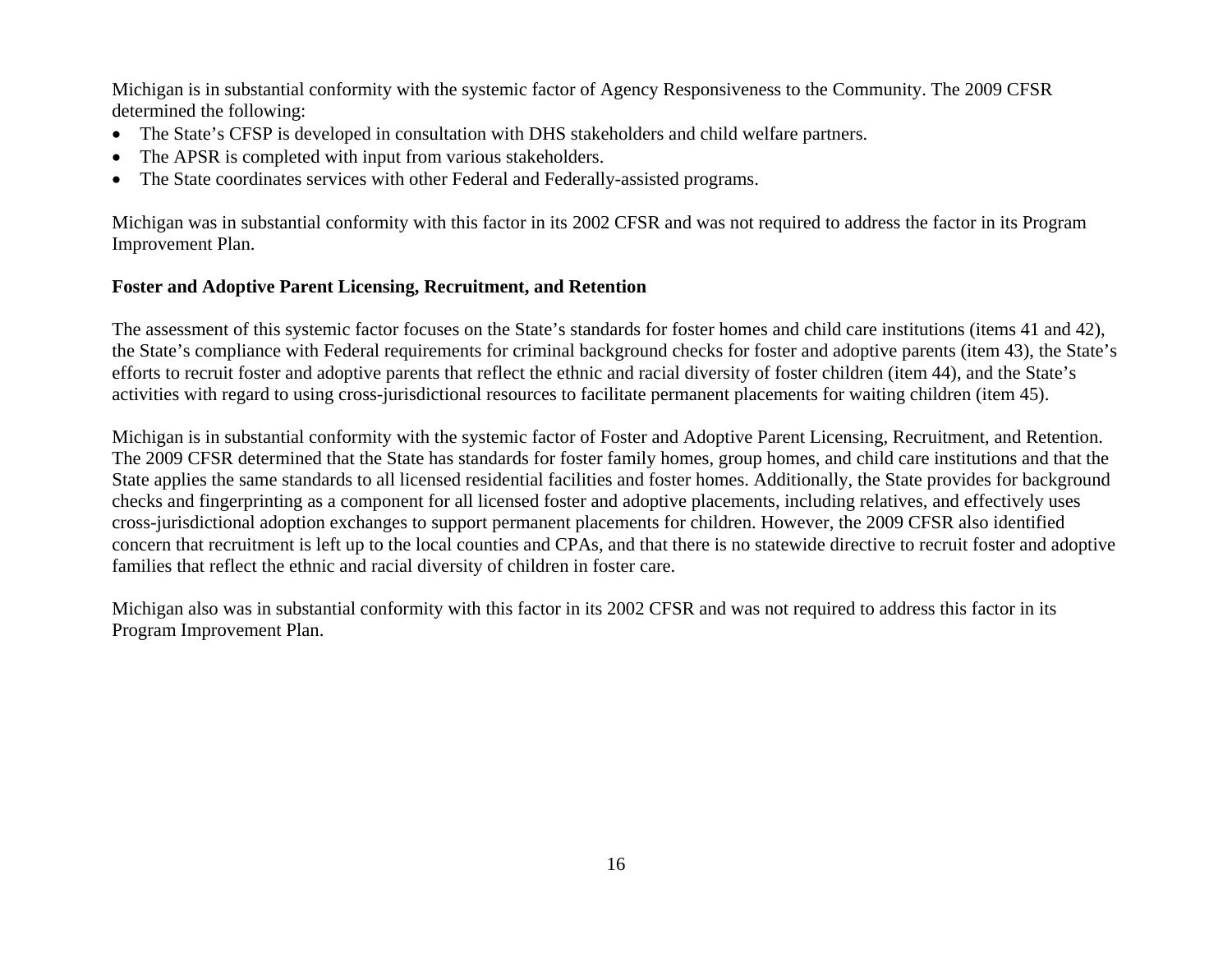Michigan is in substantial conformity with the systemic factor of Agency Responsiveness to the Community. The 2009 CFSR determined the following:

- The State's CFSP is developed in consultation with DHS stakeholders and child welfare partners.
- •The APSR is completed with input from various stakeholders.
- •The State coordinates services with other Federal and Federally-assisted programs.

Michigan was in substantial conformity with this factor in its 2002 CFSR and was not required to address the factor in its Program Improvement Plan.

## **Foster and Adoptive Parent Licensing, Recruitment, and Retention**

The assessment of this systemic factor focuses on the State's standards for foster homes and child care institutions (items 41 and 42), the State's compliance with Federal requirements for criminal background checks for foster and adoptive parents (item 43), the State's efforts to recruit foster and adoptive parents that reflect the ethnic and racial diversity of foster children (item 44), and the State's activities with regard to using cross-jurisdictional resources to facilitate permanent placements for waiting children (item 45).

Michigan is in substantial conformity with the systemic factor of Foster and Adoptive Parent Licensing, Recruitment, and Retention. The 2009 CFSR determined that the State has standards for foster family homes, group homes, and child care institutions and that the State applies the same standards to all licensed residential facilities and foster homes. Additionally, the State provides for background checks and fingerprinting as a component for all licensed foster and adoptive placements, including relatives, and effectively uses cross-jurisdictional adoption exchanges to support permanent placements for children. However, the 2009 CFSR also identified concern that recruitment is left up to the local counties and CPAs, and that there is no statewide directive to recruit foster and adoptive families that reflect the ethnic and racial diversity of children in foster care.

Michigan also was in substantial conformity with this factor in its 2002 CFSR and was not required to address this factor in its Program Improvement Plan.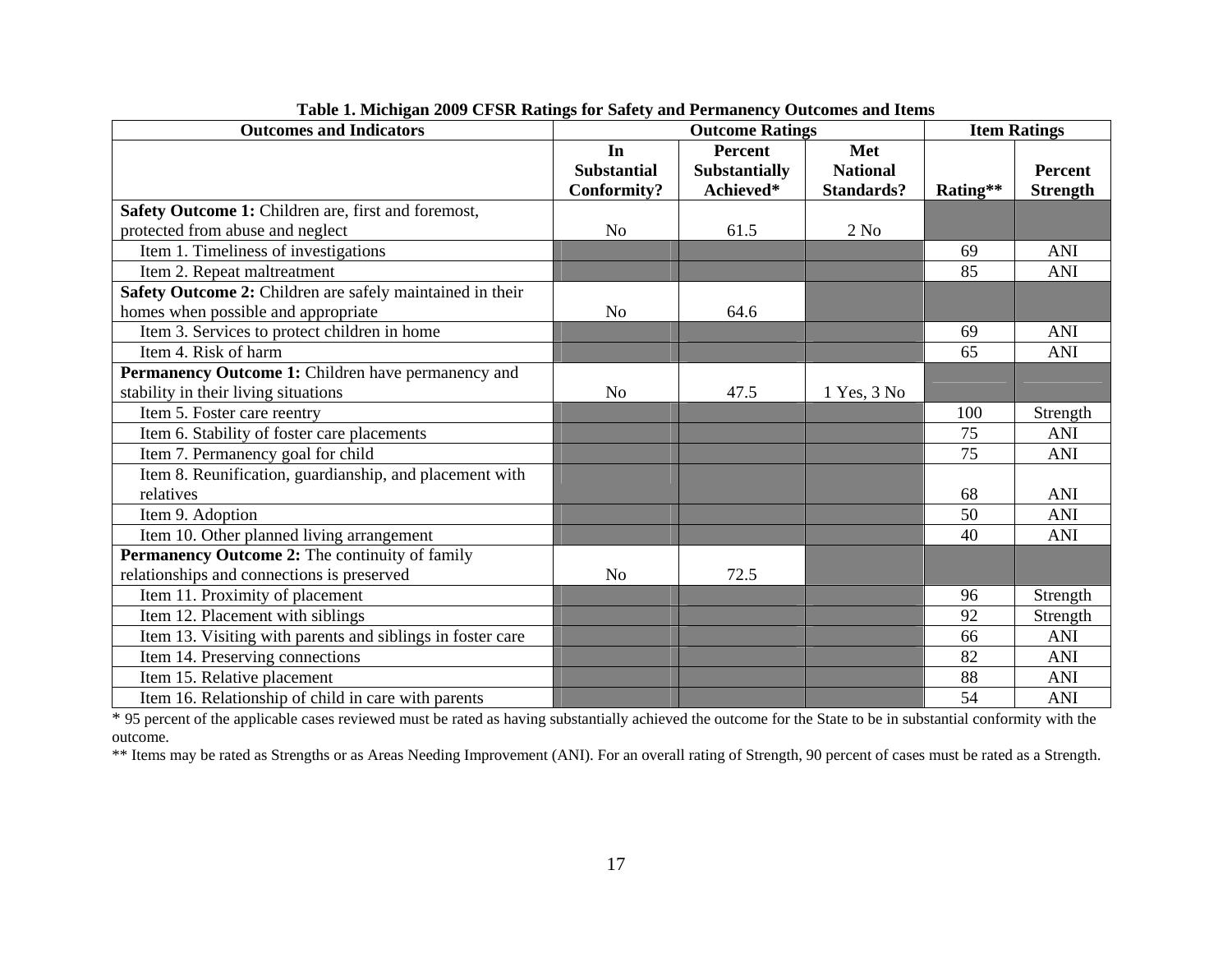| <b>Outcomes and Indicators</b>                             | <b>Outcome Ratings</b> |                      | <b>Item Ratings</b> |          |                 |
|------------------------------------------------------------|------------------------|----------------------|---------------------|----------|-----------------|
|                                                            | In                     | <b>Percent</b>       | Met                 |          |                 |
|                                                            | <b>Substantial</b>     | <b>Substantially</b> | <b>National</b>     |          | <b>Percent</b>  |
|                                                            | Conformity?            | Achieved*            | <b>Standards?</b>   | Rating** | <b>Strength</b> |
| Safety Outcome 1: Children are, first and foremost,        |                        |                      |                     |          |                 |
| protected from abuse and neglect                           | N <sub>o</sub>         | 61.5                 | $2$ No              |          |                 |
| Item 1. Timeliness of investigations                       |                        |                      |                     | 69       | <b>ANI</b>      |
| Item 2. Repeat maltreatment                                |                        |                      |                     | 85       | <b>ANI</b>      |
| Safety Outcome 2: Children are safely maintained in their  |                        |                      |                     |          |                 |
| homes when possible and appropriate                        | N <sub>o</sub>         | 64.6                 |                     |          |                 |
| Item 3. Services to protect children in home               |                        |                      |                     | 69       | <b>ANI</b>      |
| Item 4. Risk of harm                                       |                        |                      |                     | 65       | <b>ANI</b>      |
| Permanency Outcome 1: Children have permanency and         |                        |                      |                     |          |                 |
| stability in their living situations                       | N <sub>o</sub>         | 47.5                 | 1 Yes, 3 No         |          |                 |
| Item 5. Foster care reentry                                |                        |                      |                     | 100      | Strength        |
| Item 6. Stability of foster care placements                |                        |                      |                     | 75       | <b>ANI</b>      |
| Item 7. Permanency goal for child                          |                        |                      |                     | 75       | <b>ANI</b>      |
| Item 8. Reunification, guardianship, and placement with    |                        |                      |                     |          |                 |
| relatives                                                  |                        |                      |                     | 68       | ANI             |
| Item 9. Adoption                                           |                        |                      |                     | 50       | <b>ANI</b>      |
| Item 10. Other planned living arrangement                  |                        |                      |                     | 40       | <b>ANI</b>      |
| Permanency Outcome 2: The continuity of family             |                        |                      |                     |          |                 |
| relationships and connections is preserved                 | N <sub>o</sub>         | 72.5                 |                     |          |                 |
| Item 11. Proximity of placement                            |                        |                      |                     | 96       | Strength        |
| Item 12. Placement with siblings                           |                        |                      |                     | 92       | Strength        |
| Item 13. Visiting with parents and siblings in foster care |                        |                      |                     | 66       | ANI             |
| Item 14. Preserving connections                            |                        |                      |                     | 82       | <b>ANI</b>      |
| Item 15. Relative placement                                |                        |                      |                     | 88       | <b>ANI</b>      |
| Item 16. Relationship of child in care with parents        |                        |                      |                     | 54       | <b>ANI</b>      |

| Table 1. Michigan 2009 CFSR Ratings for Safety and Permanency Outcomes and Items |  |  |
|----------------------------------------------------------------------------------|--|--|
|                                                                                  |  |  |

Item 16. Relationship of child in care with parents<br>\* 95 percent of the applicable cases reviewed must be rated as having substantially achieved the outcome for the State to be in substantial conformity with the outcome.

\*\* Items may be rated as Strengths or as Areas Needing Improvement (ANI). For an overall rating of Strength, 90 percent of cases must be rated as a Strength.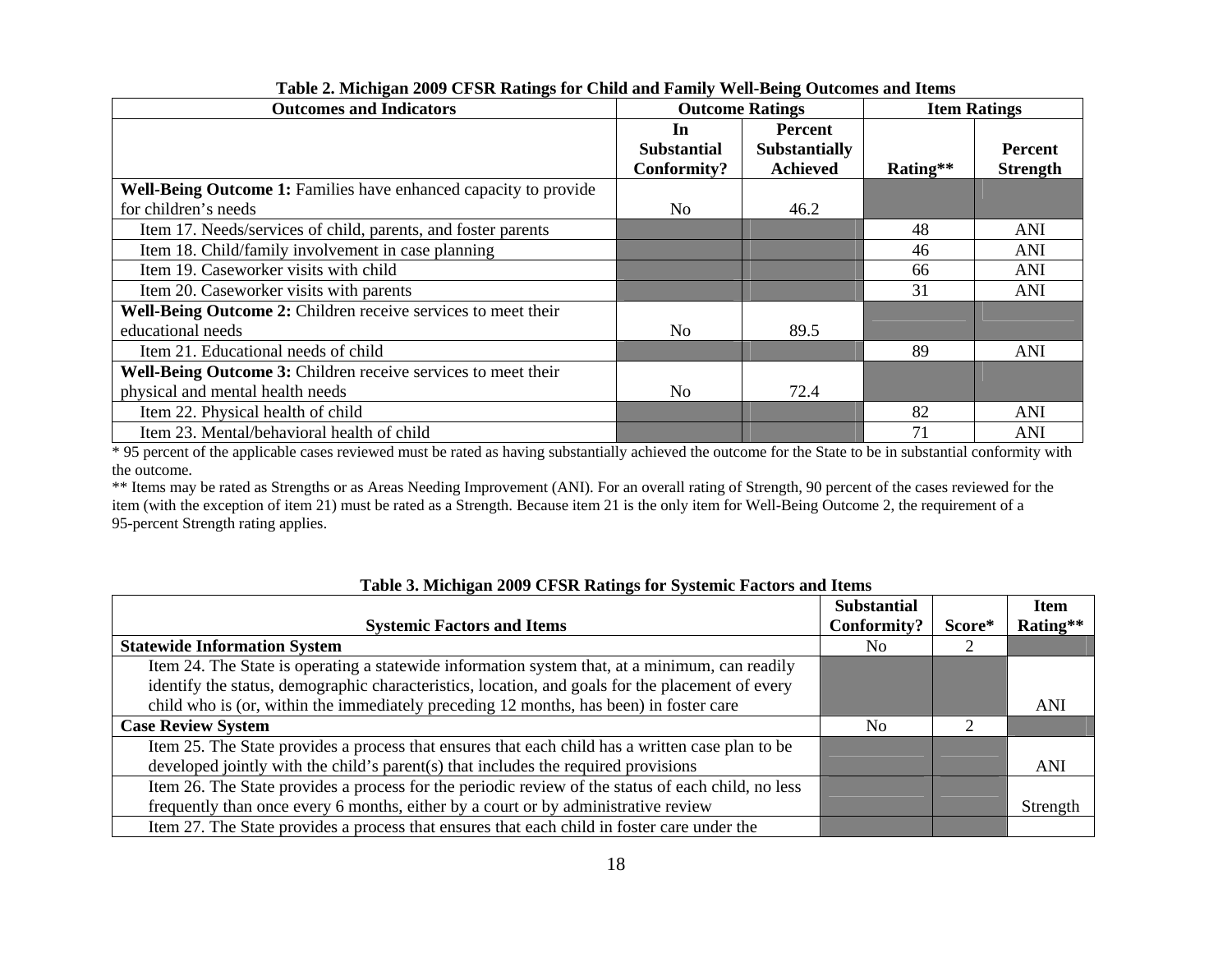| <b>Outcomes and Indicators</b>                                   | <b>Outcome Ratings</b>                  |                                                           | <b>Item Ratings</b> |                            |
|------------------------------------------------------------------|-----------------------------------------|-----------------------------------------------------------|---------------------|----------------------------|
|                                                                  | In<br><b>Substantial</b><br>Conformity? | <b>Percent</b><br><b>Substantially</b><br><b>Achieved</b> | Rating**            | Percent<br><b>Strength</b> |
| Well-Being Outcome 1: Families have enhanced capacity to provide |                                         |                                                           |                     |                            |
| for children's needs                                             | No                                      | 46.2                                                      |                     |                            |
| Item 17. Needs/services of child, parents, and foster parents    |                                         |                                                           | 48                  | ANI                        |
| Item 18. Child/family involvement in case planning               |                                         |                                                           | 46                  | ANI                        |
| Item 19. Caseworker visits with child                            |                                         |                                                           | 66                  | ANI                        |
| Item 20. Caseworker visits with parents                          |                                         |                                                           | 31                  | <b>ANI</b>                 |
| Well-Being Outcome 2: Children receive services to meet their    |                                         |                                                           |                     |                            |
| educational needs                                                | No                                      | 89.5                                                      |                     |                            |
| Item 21. Educational needs of child                              |                                         |                                                           | 89                  | <b>ANI</b>                 |
| Well-Being Outcome 3: Children receive services to meet their    |                                         |                                                           |                     |                            |
| physical and mental health needs                                 | No                                      | 72.4                                                      |                     |                            |
| Item 22. Physical health of child                                |                                         |                                                           | 82                  | ANI                        |
| Item 23. Mental/behavioral health of child                       |                                         |                                                           | 71                  | ANI                        |

**Table 2. Michigan 2009 CFSR Ratings for Child and Family Well-Being Outcomes and Items**

\* 95 percent of the applicable cases reviewed must be rated as having substantially achieved the outcome for the State to be in substantial conformity with the outcome.

\*\* Items may be rated as Strengths or as Areas Needing Improvement (ANI). For an overall rating of Strength, 90 percent of the cases reviewed for the item (with the exception of item 21) must be rated as a Strength. Because item 21 is the only item for Well-Being Outcome 2, the requirement of a 95-percent Strength rating applies.

|                                                                                                    | <b>Substantial</b> |        | <b>Item</b> |
|----------------------------------------------------------------------------------------------------|--------------------|--------|-------------|
| <b>Systemic Factors and Items</b>                                                                  | Conformity?        | Score* | Rating**    |
| <b>Statewide Information System</b>                                                                | No.                |        |             |
| Item 24. The State is operating a statewide information system that, at a minimum, can readily     |                    |        |             |
| identify the status, demographic characteristics, location, and goals for the placement of every   |                    |        |             |
| child who is (or, within the immediately preceding 12 months, has been) in foster care             |                    |        | ANI         |
| <b>Case Review System</b>                                                                          | No.                | ◠      |             |
| Item 25. The State provides a process that ensures that each child has a written case plan to be   |                    |        |             |
| developed jointly with the child's parent(s) that includes the required provisions                 |                    |        | ANI         |
| Item 26. The State provides a process for the periodic review of the status of each child, no less |                    |        |             |
| frequently than once every 6 months, either by a court or by administrative review                 |                    |        | Strength    |
| Item 27. The State provides a process that ensures that each child in foster care under the        |                    |        |             |

#### **Table 3. Michigan 2009 CFSR Ratings for Systemic Factors and Items**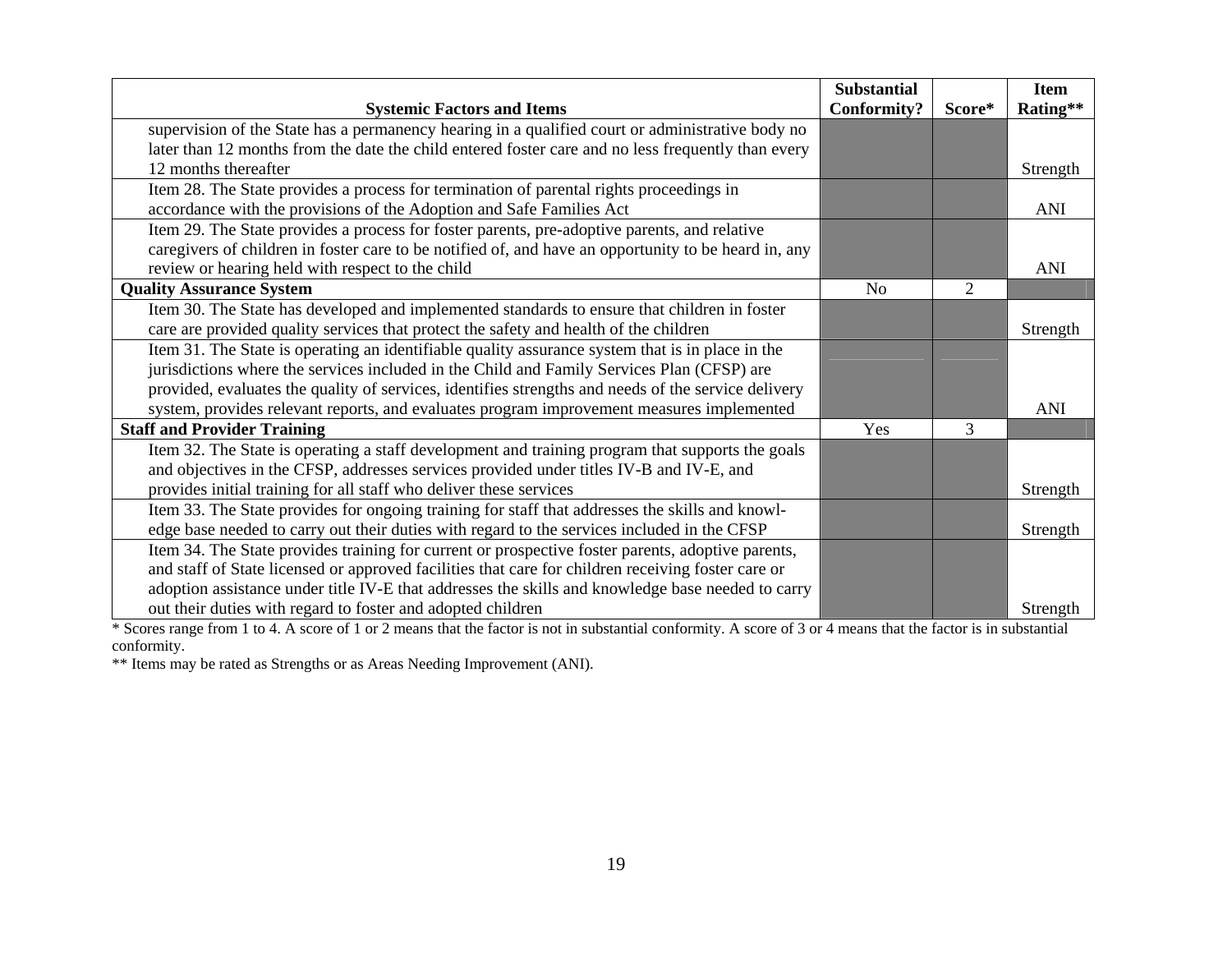|                                                                                                      | <b>Substantial</b> |                | <b>Item</b> |
|------------------------------------------------------------------------------------------------------|--------------------|----------------|-------------|
| <b>Systemic Factors and Items</b>                                                                    | <b>Conformity?</b> | Score*         | Rating**    |
| supervision of the State has a permanency hearing in a qualified court or administrative body no     |                    |                |             |
| later than 12 months from the date the child entered foster care and no less frequently than every   |                    |                |             |
| 12 months thereafter                                                                                 |                    |                | Strength    |
| Item 28. The State provides a process for termination of parental rights proceedings in              |                    |                |             |
| accordance with the provisions of the Adoption and Safe Families Act                                 |                    |                | <b>ANI</b>  |
| Item 29. The State provides a process for foster parents, pre-adoptive parents, and relative         |                    |                |             |
| caregivers of children in foster care to be notified of, and have an opportunity to be heard in, any |                    |                |             |
| review or hearing held with respect to the child                                                     |                    |                | ANI         |
| <b>Quality Assurance System</b>                                                                      | N <sub>0</sub>     | $\overline{2}$ |             |
| Item 30. The State has developed and implemented standards to ensure that children in foster         |                    |                |             |
| care are provided quality services that protect the safety and health of the children                |                    |                | Strength    |
| Item 31. The State is operating an identifiable quality assurance system that is in place in the     |                    |                |             |
| jurisdictions where the services included in the Child and Family Services Plan (CFSP) are           |                    |                |             |
| provided, evaluates the quality of services, identifies strengths and needs of the service delivery  |                    |                |             |
| system, provides relevant reports, and evaluates program improvement measures implemented            |                    |                | <b>ANI</b>  |
| <b>Staff and Provider Training</b>                                                                   | Yes                | 3              |             |
| Item 32. The State is operating a staff development and training program that supports the goals     |                    |                |             |
| and objectives in the CFSP, addresses services provided under titles IV-B and IV-E, and              |                    |                |             |
| provides initial training for all staff who deliver these services                                   |                    |                | Strength    |
| Item 33. The State provides for ongoing training for staff that addresses the skills and knowl-      |                    |                |             |
| edge base needed to carry out their duties with regard to the services included in the CFSP          |                    |                | Strength    |
| Item 34. The State provides training for current or prospective foster parents, adoptive parents,    |                    |                |             |
| and staff of State licensed or approved facilities that care for children receiving foster care or   |                    |                |             |
| adoption assistance under title IV-E that addresses the skills and knowledge base needed to carry    |                    |                |             |
| out their duties with regard to foster and adopted children                                          |                    |                | Strength    |

\* Scores range from 1 to 4. A score of 1 or 2 means that the factor is not in substantial conformity. A score of 3 or 4 means that the factor is in substantial conformity.

\*\* Items may be rated as Strengths or as Areas Needing Improvement (ANI).